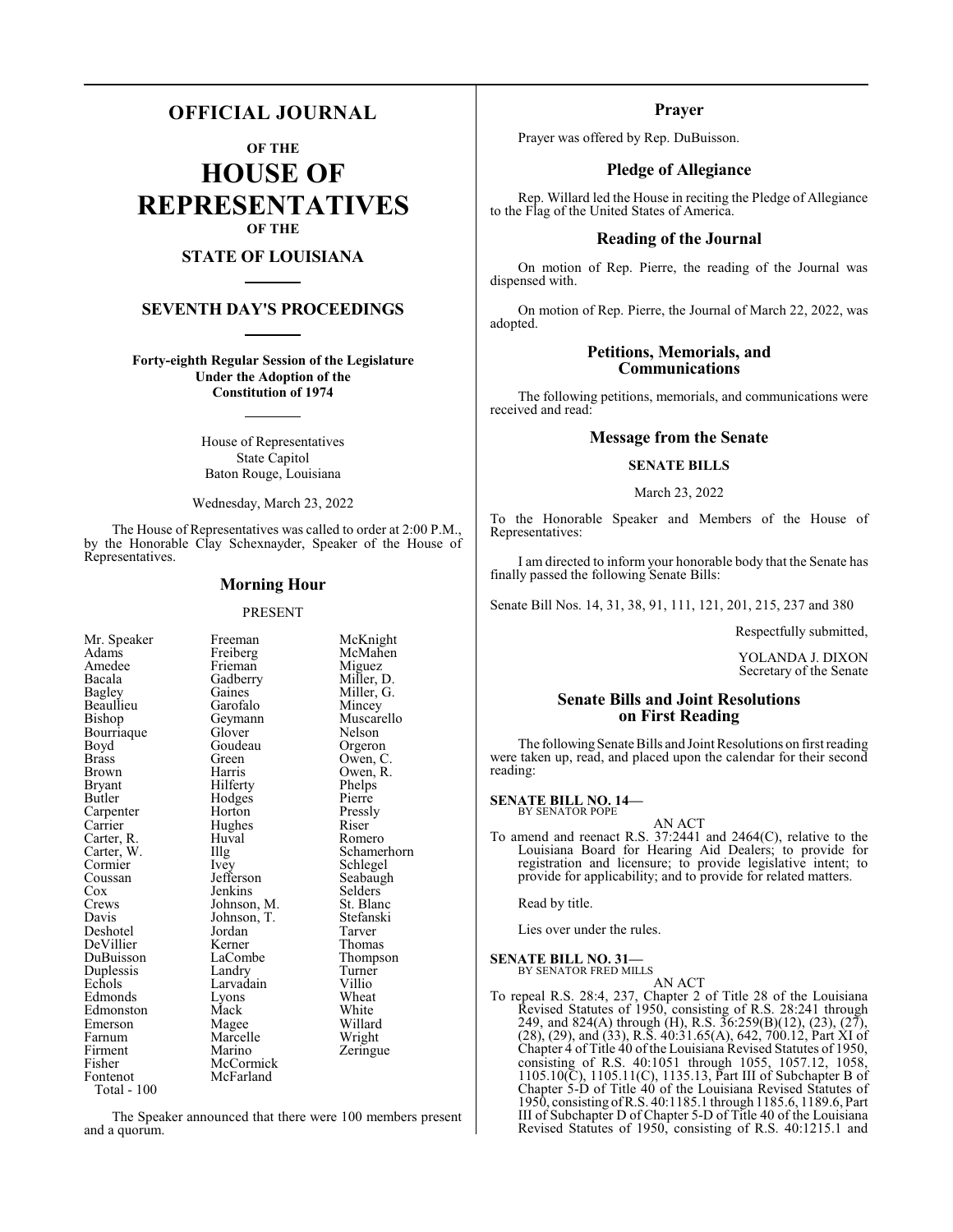## **OFFICIAL JOURNAL**

**OF THE**

**HOUSE OF REPRESENTATIVES OF THE**

## **STATE OF LOUISIANA**

## **SEVENTH DAY'S PROCEEDINGS**

**Forty-eighth Regular Session of the Legislature Under the Adoption of the Constitution of 1974**

> House of Representatives State Capitol Baton Rouge, Louisiana

Wednesday, March 23, 2022

The House of Representatives was called to order at 2:00 P.M., by the Honorable Clay Schexnayder, Speaker of the House of Representatives.

## **Morning Hour**

#### PRESENT

| Mr. Speaker | Freeman     | McKnight    |
|-------------|-------------|-------------|
| Adams       | Freiberg    | McMahen     |
| Amedee      | Frieman     | Miguez      |
| Bacala      | Gadberry    | Miller, D.  |
| Bagley      | Gaines      | Miller, G.  |
| Beaullieu   | Garofalo    | Mincey      |
| Bishop      | Geymann     | Muscarello  |
| Bourriaque  | Glover      | Nelson      |
| Boyd        | Goudeau     | Orgeron     |
| Brass       | Green       | Owen, C.    |
| Brown       | Harris      | Owen, R.    |
| Bryant      | Hilferty    | Phelps      |
| Butler      | Hodges      | Pierre      |
| Carpenter   | Horton      | Pressly     |
| Carrier     | Hughes      | Riser       |
| Carter, R.  | Huval       | Romero      |
| Carter, W.  | Illg        | Schamerhorn |
| Cormier     | <i>lvey</i> | Schlegel    |
| Coussan     | Jefferson   | Seabaugh    |
| $\cos$      | Jenkins     | Selders     |
| Crews       | Johnson, M. | St. Blanc   |
| Davis       | Johnson, T. | Stefanski   |
| Deshotel    | Jordan      | Tarver      |
| DeVillier   | Kerner      | Thomas      |
| DuBuisson   | LaCombe     | Thompson    |
| Duplessis   | Landry      | Turner      |
| Echols      | Larvadain   | Villio      |
| Edmonds     | Lyons       | Wheat       |
| Edmonston   | Mack        | White       |
| Emerson     | Magee       | Willard     |
| Farnum      | Marcelle    | Wright      |
| Firment     | Marino      | Zeringue    |
| Fisher      | McCormick   |             |
| Fontenot    | McFarland   |             |
| Total - 100 |             |             |

The Speaker announced that there were 100 members present and a quorum.

## **Prayer**

Prayer was offered by Rep. DuBuisson.

## **Pledge of Allegiance**

Rep. Willard led the House in reciting the Pledge of Allegiance to the Flag of the United States of America.

## **Reading of the Journal**

On motion of Rep. Pierre, the reading of the Journal was dispensed with.

On motion of Rep. Pierre, the Journal of March 22, 2022, was adopted.

## **Petitions, Memorials, and Communications**

The following petitions, memorials, and communications were received and read:

## **Message from the Senate**

## **SENATE BILLS**

March 23, 2022

To the Honorable Speaker and Members of the House of Representatives:

I am directed to inform your honorable body that the Senate has finally passed the following Senate Bills:

Senate Bill Nos. 14, 31, 38, 91, 111, 121, 201, 215, 237 and 380

Respectfully submitted,

YOLANDA J. DIXON Secretary of the Senate

## **Senate Bills and Joint Resolutions on First Reading**

The following Senate Bills and Joint Resolutions on first reading were taken up, read, and placed upon the calendar for their second reading:

#### **SENATE BILL NO. 14—** BY SENATOR POPE

AN ACT

To amend and reenact R.S. 37:2441 and 2464(C), relative to the Louisiana Board for Hearing Aid Dealers; to provide for registration and licensure; to provide legislative intent; to provide for applicability; and to provide for related matters.

Read by title.

Lies over under the rules.

**SENATE BILL NO. 31—** BY SENATOR FRED MILLS

AN ACT

To repeal R.S. 28:4, 237, Chapter 2 of Title 28 of the Louisiana Revised Statutes of 1950, consisting of R.S. 28:241 through 249, and 824(A) through (H), R.S. 36:259(B)(12), (23), (27), (28), (29), and (33), R.S. 40:31.65(A), 642, 700.12, Part XI of Chapter 4 of Title 40 of the Louisiana Revised Statutes of 1950, consisting of R.S. 40:1051 through 1055, 1057.12, 1058, 1105.10(C), 1105.11(C), 1135.13, Part III of Subchapter B of Chapter 5-D of Title 40 of the Louisiana Revised Statutes of 1950, consisting ofR.S. 40:1185.1 through 1185.6, 1189.6, Part III of Subchapter D of Chapter 5-D of Title 40 of the Louisiana Revised Statutes of 1950, consisting of R.S. 40:1215.1 and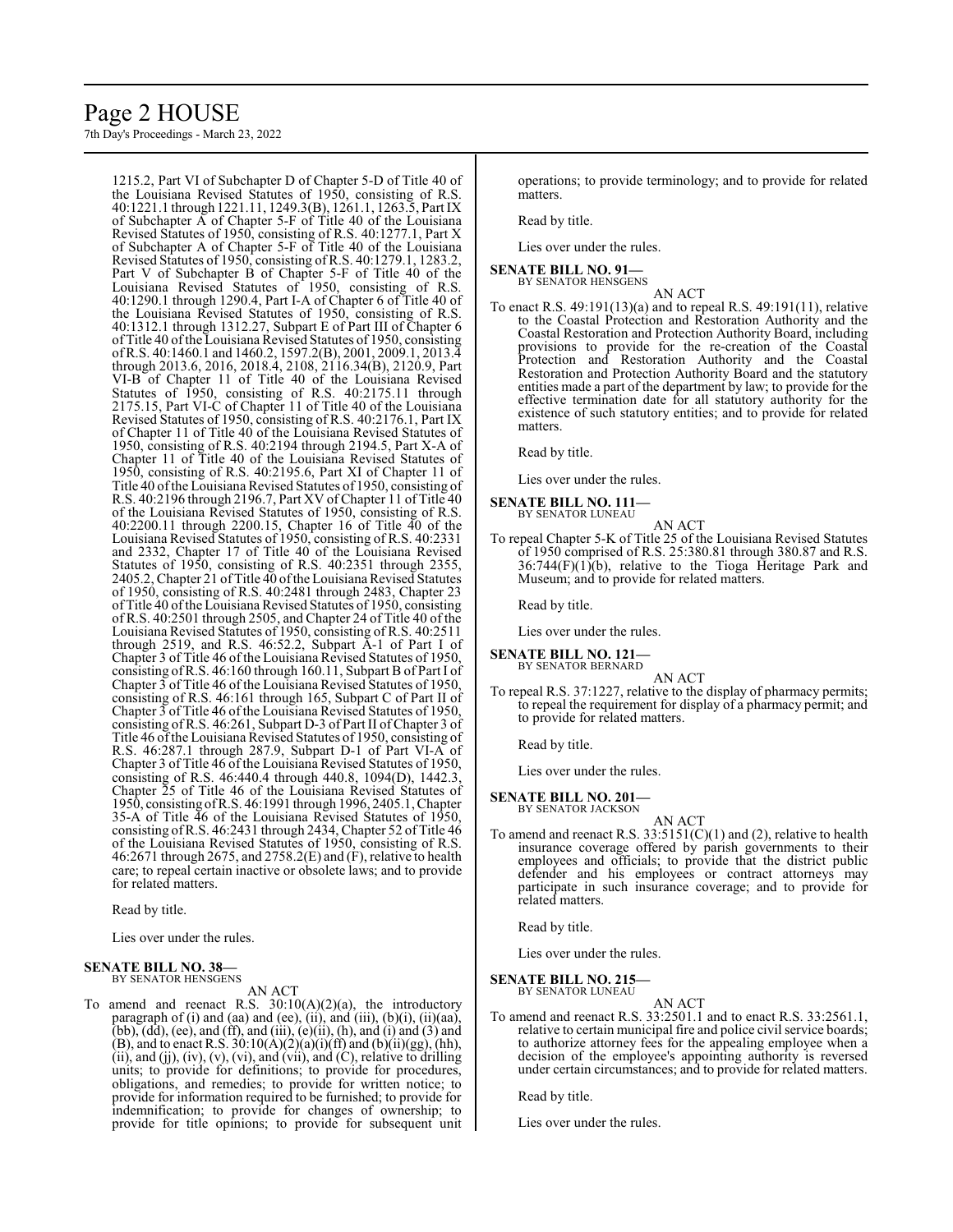# Page 2 HOUSE

7th Day's Proceedings - March 23, 2022

1215.2, Part VI of Subchapter D of Chapter 5-D of Title 40 of the Louisiana Revised Statutes of 1950, consisting of R.S. 40:1221.1 through 1221.11, 1249.3(B), 1261.1, 1263.5, Part IX of Subchapter  $\tilde{A}$  of Chapter 5-F of Title 40 of the Louisiana Revised Statutes of 1950, consisting of R.S. 40:1277.1, Part X of Subchapter A of Chapter 5-F of Title 40 of the Louisiana Revised Statutes of 1950, consisting of R.S. 40:1279.1, 1283.2, Part V of Subchapter B of Chapter 5-F of Title 40 of the Louisiana Revised Statutes of 1950, consisting of R.S. 40:1290.1 through 1290.4, Part I-A of Chapter 6 of Title 40 of the Louisiana Revised Statutes of 1950, consisting of R.S. 40:1312.1 through 1312.27, Subpart E of Part III of Chapter 6 of Title 40 ofthe Louisiana Revised Statutes of 1950, consisting ofR.S. 40:1460.1 and 1460.2, 1597.2(B), 2001, 2009.1, 2013.4 through 2013.6, 2016, 2018.4, 2108, 2116.34(B), 2120.9, Part VI-B of Chapter 11 of Title 40 of the Louisiana Revised Statutes of 1950, consisting of R.S. 40:2175.11 through 2175.15, Part VI-C of Chapter 11 of Title 40 of the Louisiana Revised Statutes of 1950, consisting of R.S. 40:2176.1, Part IX of Chapter 11 of Title 40 of the Louisiana Revised Statutes of 1950, consisting of R.S. 40:2194 through 2194.5, Part X-A of Chapter 11 of Title 40 of the Louisiana Revised Statutes of 1950, consisting of R.S. 40:2195.6, Part XI of Chapter 11 of Title 40 ofthe Louisiana Revised Statutes of 1950, consisting of R.S. 40:2196 through 2196.7, Part XV of Chapter 11 of Title 40 of the Louisiana Revised Statutes of 1950, consisting of R.S. 40:2200.11 through 2200.15, Chapter 16 of Title 40 of the Louisiana Revised Statutes of 1950, consisting of R.S. 40:2331 and 2332, Chapter 17 of Title 40 of the Louisiana Revised Statutes of 1950, consisting of R.S. 40:2351 through 2355, 2405.2, Chapter 21 of Title 40 ofthe Louisiana Revised Statutes of 1950, consisting of R.S. 40:2481 through 2483, Chapter 23 of Title 40 of the Louisiana Revised Statutes of 1950, consisting of R.S. 40:2501 through 2505, and Chapter 24 of Title 40 of the Louisiana Revised Statutes of 1950, consisting of R.S. 40:2511 through 2519, and R.S. 46:52.2, Subpart A-1 of Part I of Chapter 3 of Title 46 of the Louisiana Revised Statutes of 1950, consisting ofR.S. 46:160 through 160.11, Subpart B of Part I of Chapter 3 of Title 46 of the Louisiana Revised Statutes of 1950, consisting of R.S. 46:161 through 165, Subpart C of Part II of Chapter 3 of Title 46 of the Louisiana Revised Statutes of 1950, consisting of R.S. 46:261, Subpart D-3 of Part II ofChapter 3 of Title 46 of the Louisiana Revised Statutes of 1950, consisting of R.S. 46:287.1 through 287.9, Subpart D-1 of Part VI-A of Chapter 3 of Title 46 of the Louisiana Revised Statutes of 1950, consisting of R.S. 46:440.4 through 440.8, 1094(D), 1442.3, Chapter 25 of Title 46 of the Louisiana Revised Statutes of 1950, consisting ofR.S. 46:1991 through 1996, 2405.1, Chapter 35-A of Title 46 of the Louisiana Revised Statutes of 1950, consisting ofR.S. 46:2431 through 2434, Chapter 52 of Title 46 of the Louisiana Revised Statutes of 1950, consisting of R.S. 46:2671 through 2675, and 2758.2(E) and (F), relative to health care; to repeal certain inactive or obsolete laws; and to provide for related matters.

Read by title.

Lies over under the rules.

#### **SENATE BILL NO. 38—** BY SENATOR HENSGENS

AN ACT

To amend and reenact R.S.  $30:10(A)(2)(a)$ , the introductory paragraph of (i) and (aa) and (ee), (ii), and (iii), (b)(i), (ii)(aa),  $(bb)$ ,  $(dd)$ ,  $(ee)$ , and  $(ff)$ , and  $(iii)$ ,  $(e)(ii)$ ,  $(h)$ , and  $(i)$  and  $(3)$  and (B), and to enact R.S.  $30:10(A)(2)(a)(i)(ff)$  and  $(b)(ii)(gg)$ , (hh),  $(ii)$ , and  $(ij)$ ,  $(iv)$ ,  $(v)$ ,  $(vi)$ , and  $(vii)$ , and  $(C)$ , relative to drilling units; to provide for definitions; to provide for procedures, obligations, and remedies; to provide for written notice; to provide for information required to be furnished; to provide for indemnification; to provide for changes of ownership; to provide for title opinions; to provide for subsequent unit operations; to provide terminology; and to provide for related matters.

Read by title.

Lies over under the rules.

#### **SENATE BILL NO. 91—** BY SENATOR HENSGENS

AN ACT

To enact R.S. 49:191(13)(a) and to repeal R.S. 49:191(11), relative to the Coastal Protection and Restoration Authority and the Coastal Restoration and Protection Authority Board, including provisions to provide for the re-creation of the Coastal Protection and Restoration Authority and the Coastal Restoration and Protection Authority Board and the statutory entities made a part of the department by law; to provide for the effective termination date for all statutory authority for the existence of such statutory entities; and to provide for related matters.

Read by title.

Lies over under the rules.

**SENATE BILL NO. 111—** BY SENATOR LUNEAU

- AN ACT
- To repeal Chapter 5-K of Title 25 of the Louisiana Revised Statutes of 1950 comprised of R.S. 25:380.81 through 380.87 and R.S.  $36:744(F)(1)(b)$ , relative to the Tioga Heritage Park and Museum; and to provide for related matters.

Read by title.

Lies over under the rules.

**SENATE BILL NO. 121—** BY SENATOR BERNARD

AN ACT

To repeal R.S. 37:1227, relative to the display of pharmacy permits; to repeal the requirement for display of a pharmacy permit; and to provide for related matters.

Read by title.

Lies over under the rules.

#### **SENATE BILL NO. 201—**

BY SENATOR JACKSON

AN ACT To amend and reenact R.S. 33:5151(C)(1) and (2), relative to health insurance coverage offered by parish governments to their employees and officials; to provide that the district public defender and his employees or contract attorneys may participate in such insurance coverage; and to provide for related matters.

Read by title.

Lies over under the rules.

**SENATE BILL NO. 215—**

BY SENATOR LUNEAU

AN ACT To amend and reenact R.S. 33:2501.1 and to enact R.S. 33:2561.1, relative to certain municipal fire and police civil service boards; to authorize attorney fees for the appealing employee when a decision of the employee's appointing authority is reversed under certain circumstances; and to provide for related matters.

Read by title.

Lies over under the rules.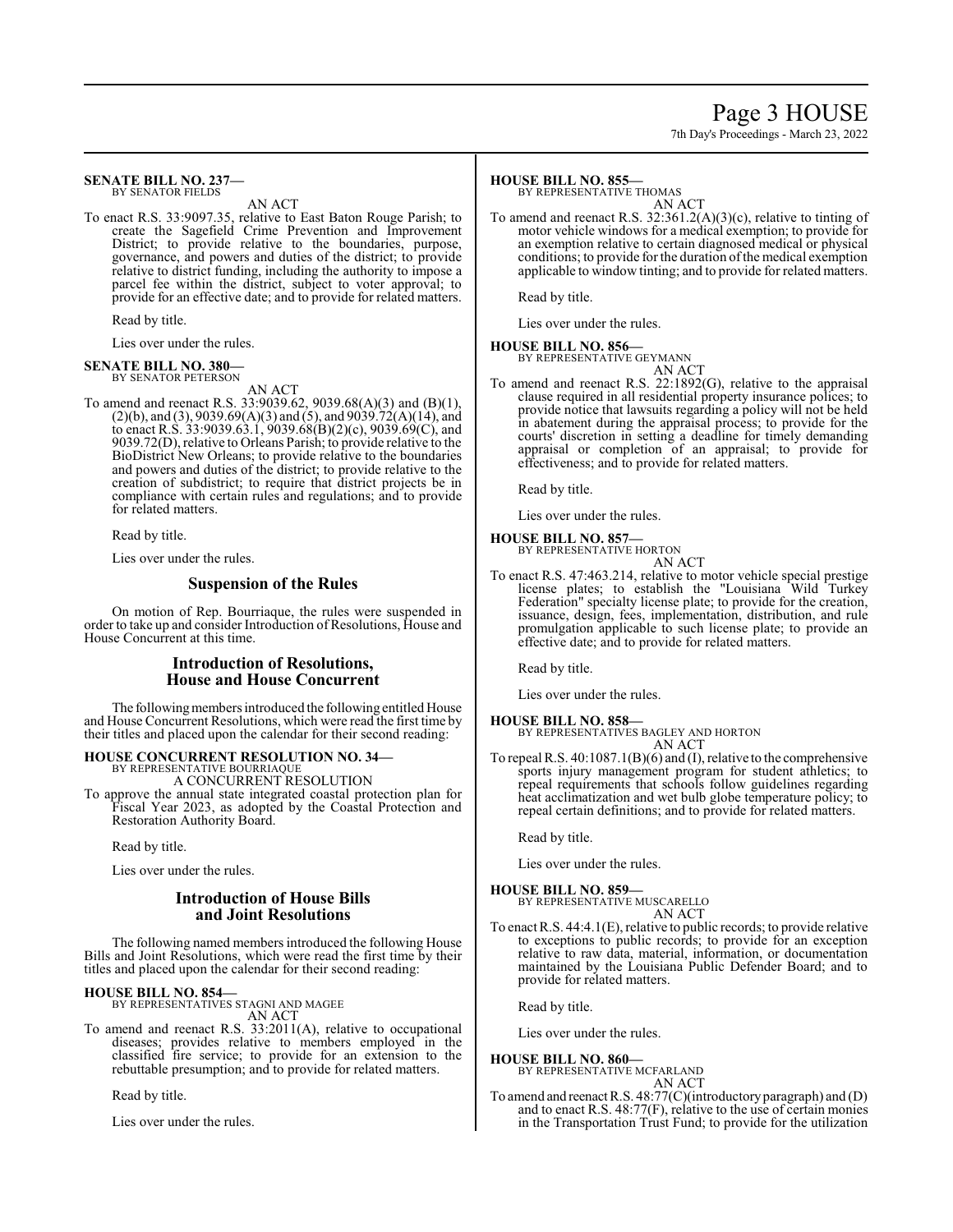# Page 3 HOUSE

7th Day's Proceedings - March 23, 2022

#### **SENATE BILL NO. 237—** BY SENATOR FIELDS

AN ACT

To enact R.S. 33:9097.35, relative to East Baton Rouge Parish; to create the Sagefield Crime Prevention and Improvement District; to provide relative to the boundaries, purpose, governance, and powers and duties of the district; to provide relative to district funding, including the authority to impose a parcel fee within the district, subject to voter approval; to provide for an effective date; and to provide for related matters.

Read by title.

Lies over under the rules.

#### **SENATE BILL NO. 380—** BY SENATOR PETERSON

AN ACT

To amend and reenact R.S. 33:9039.62, 9039.68(A)(3) and (B)(1),  $(2)(b)$ , and  $(3)$ , 9039.69 $(A)(3)$  and  $(5)$ , and 9039.72 $(A)(14)$ , and to enact R.S. 33:9039.63.1, 9039.68(B)(2)(c), 9039.69(C), and 9039.72(D), relative to Orleans Parish; to provide relative to the BioDistrict New Orleans; to provide relative to the boundaries and powers and duties of the district; to provide relative to the creation of subdistrict; to require that district projects be in compliance with certain rules and regulations; and to provide for related matters.

Read by title.

Lies over under the rules.

## **Suspension of the Rules**

On motion of Rep. Bourriaque, the rules were suspended in order to take up and consider Introduction of Resolutions, House and House Concurrent at this time.

## **Introduction of Resolutions, House and House Concurrent**

The following members introduced the following entitled House and House Concurrent Resolutions, which were read the first time by their titles and placed upon the calendar for their second reading:

#### **HOUSE CONCURRENT RESOLUTION NO. 34—** BY REPRESENTATIVE BOURRIAQUE

A CONCURRENT RESOLUTION

To approve the annual state integrated coastal protection plan for Fiscal Year 2023, as adopted by the Coastal Protection and Restoration Authority Board.

Read by title.

Lies over under the rules.

## **Introduction of House Bills and Joint Resolutions**

The following named members introduced the following House Bills and Joint Resolutions, which were read the first time by their titles and placed upon the calendar for their second reading:

## **HOUSE BILL NO. 854—**

BY REPRESENTATIVES STAGNI AND MAGEE AN ACT

To amend and reenact R.S. 33:2011(A), relative to occupational diseases; provides relative to members employed in the classified fire service; to provide for an extension to the rebuttable presumption; and to provide for related matters.

Read by title.

Lies over under the rules.

#### **HOUSE BILL NO. 855—**

BY REPRESENTATIVE THOMAS

AN ACT To amend and reenact R.S. 32:361.2(A)(3)(c), relative to tinting of motor vehicle windows for a medical exemption; to provide for an exemption relative to certain diagnosed medical or physical conditions; to provide for the duration of the medical exemption applicable to window tinting; and to provide for related matters.

Read by title.

Lies over under the rules.

#### **HOUSE BILL NO. 856—**

BY REPRESENTATIVE GEYMANN AN ACT

To amend and reenact R.S. 22:1892(G), relative to the appraisal clause required in all residential property insurance polices; to provide notice that lawsuits regarding a policy will not be held in abatement during the appraisal process; to provide for the courts' discretion in setting a deadline for timely demanding appraisal or completion of an appraisal; to provide for effectiveness; and to provide for related matters.

Read by title.

Lies over under the rules.

## **HOUSE BILL NO. 857—**

BY REPRESENTATIVE HORTON AN ACT

To enact R.S. 47:463.214, relative to motor vehicle special prestige license plates; to establish the "Louisiana Wild Turkey Federation" specialty license plate; to provide for the creation, issuance, design, fees, implementation, distribution, and rule promulgation applicable to such license plate; to provide an effective date; and to provide for related matters.

Read by title.

Lies over under the rules.

## **HOUSE BILL NO. 858—**

BY REPRESENTATIVES BAGLEY AND HORTON AN ACT

To repeal R.S. 40:1087.1(B)(6) and (I), relative to the comprehensive sports injury management program for student athletics; to repeal requirements that schools follow guidelines regarding heat acclimatization and wet bulb globe temperature policy; to repeal certain definitions; and to provide for related matters.

Read by title.

Lies over under the rules.

#### **HOUSE BILL NO. 859—**

BY REPRESENTATIVE MUSCARELLO AN ACT

To enact R.S. 44:4.1(E), relative to public records; to provide relative to exceptions to public records; to provide for an exception relative to raw data, material, information, or documentation maintained by the Louisiana Public Defender Board; and to provide for related matters.

Read by title.

Lies over under the rules.

## **HOUSE BILL NO. 860—**

BY REPRESENTATIVE MCFARLAND AN ACT

To amend and reenact R.S. 48:77(C)(introductoryparagraph) and (D) and to enact R.S. 48:77(F), relative to the use of certain monies in the Transportation Trust Fund; to provide for the utilization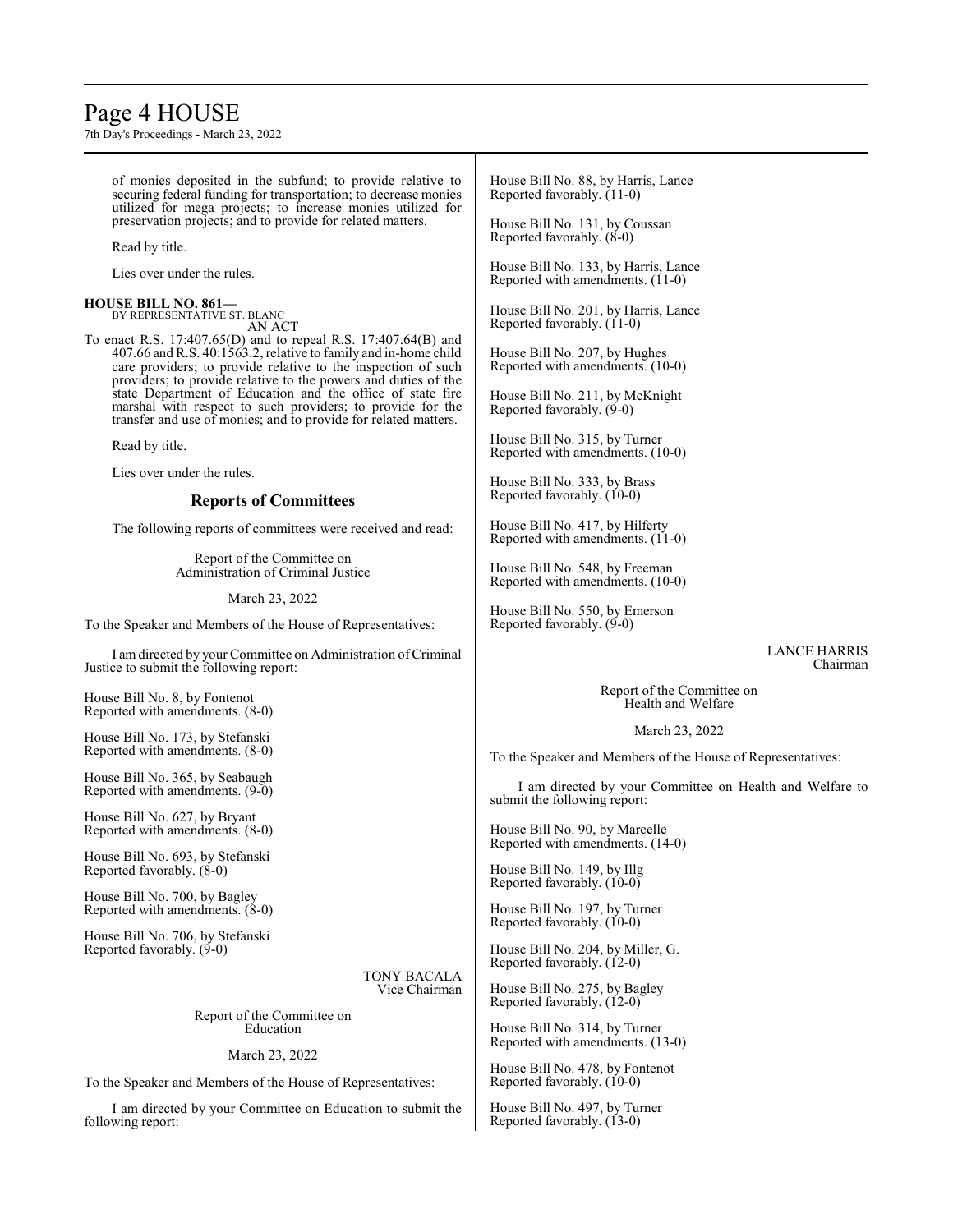# Page 4 HOUSE

7th Day's Proceedings - March 23, 2022

of monies deposited in the subfund; to provide relative to securing federal funding for transportation; to decrease monies utilized for mega projects; to increase monies utilized for preservation projects; and to provide for related matters.

Read by title.

Lies over under the rules.

#### **HOUSE BILL NO. 861—** BY REPRESENTATIVE ST. BLANC

AN ACT

To enact R.S. 17:407.65(D) and to repeal R.S. 17:407.64(B) and 407.66 and R.S. 40:1563.2, relative to family and in-home child care providers; to provide relative to the inspection of such providers; to provide relative to the powers and duties of the state Department of Education and the office of state fire marshal with respect to such providers; to provide for the transfer and use of monies; and to provide for related matters.

Read by title.

Lies over under the rules.

## **Reports of Committees**

The following reports of committees were received and read:

Report of the Committee on Administration of Criminal Justice

March 23, 2022

To the Speaker and Members of the House of Representatives:

I amdirected by your Committee on Administration ofCriminal Justice to submit the following report:

House Bill No. 8, by Fontenot Reported with amendments. (8-0)

House Bill No. 173, by Stefanski Reported with amendments. (8-0)

House Bill No. 365, by Seabaugh Reported with amendments. (9-0)

House Bill No. 627, by Bryant Reported with amendments. (8-0)

House Bill No. 693, by Stefanski Reported favorably.  $(8-0)$ 

House Bill No. 700, by Bagley Reported with amendments. (8-0)

House Bill No. 706, by Stefanski Reported favorably. (9-0)

> TONY BACALA Vice Chairman

Report of the Committee on Education

March 23, 2022

To the Speaker and Members of the House of Representatives:

I am directed by your Committee on Education to submit the following report:

House Bill No. 88, by Harris, Lance Reported favorably. (11-0)

House Bill No. 131, by Coussan Reported favorably.  $(\check{8}$ -0)

House Bill No. 133, by Harris, Lance Reported with amendments. (11-0)

House Bill No. 201, by Harris, Lance Reported favorably. (11-0)

House Bill No. 207, by Hughes Reported with amendments. (10-0)

House Bill No. 211, by McKnight Reported favorably. (9-0)

House Bill No. 315, by Turner Reported with amendments. (10-0)

House Bill No. 333, by Brass Reported favorably. (10-0)

House Bill No. 417, by Hilferty Reported with amendments. (11-0)

House Bill No. 548, by Freeman Reported with amendments. (10-0)

House Bill No. 550, by Emerson Reported favorably.  $(9-0)$ 

> LANCE HARRIS Chairman

Report of the Committee on Health and Welfare

March 23, 2022

To the Speaker and Members of the House of Representatives:

I am directed by your Committee on Health and Welfare to submit the following report:

House Bill No. 90, by Marcelle Reported with amendments. (14-0)

House Bill No. 149, by Illg Reported favorably.  $(10-0)$ 

House Bill No. 197, by Turner Reported favorably. (10-0)

House Bill No. 204, by Miller, G. Reported favorably. (12-0)

House Bill No. 275, by Bagley Reported favorably. (12-0)

House Bill No. 314, by Turner Reported with amendments. (13-0)

House Bill No. 478, by Fontenot Reported favorably. (10-0)

House Bill No. 497, by Turner Reported favorably. (13-0)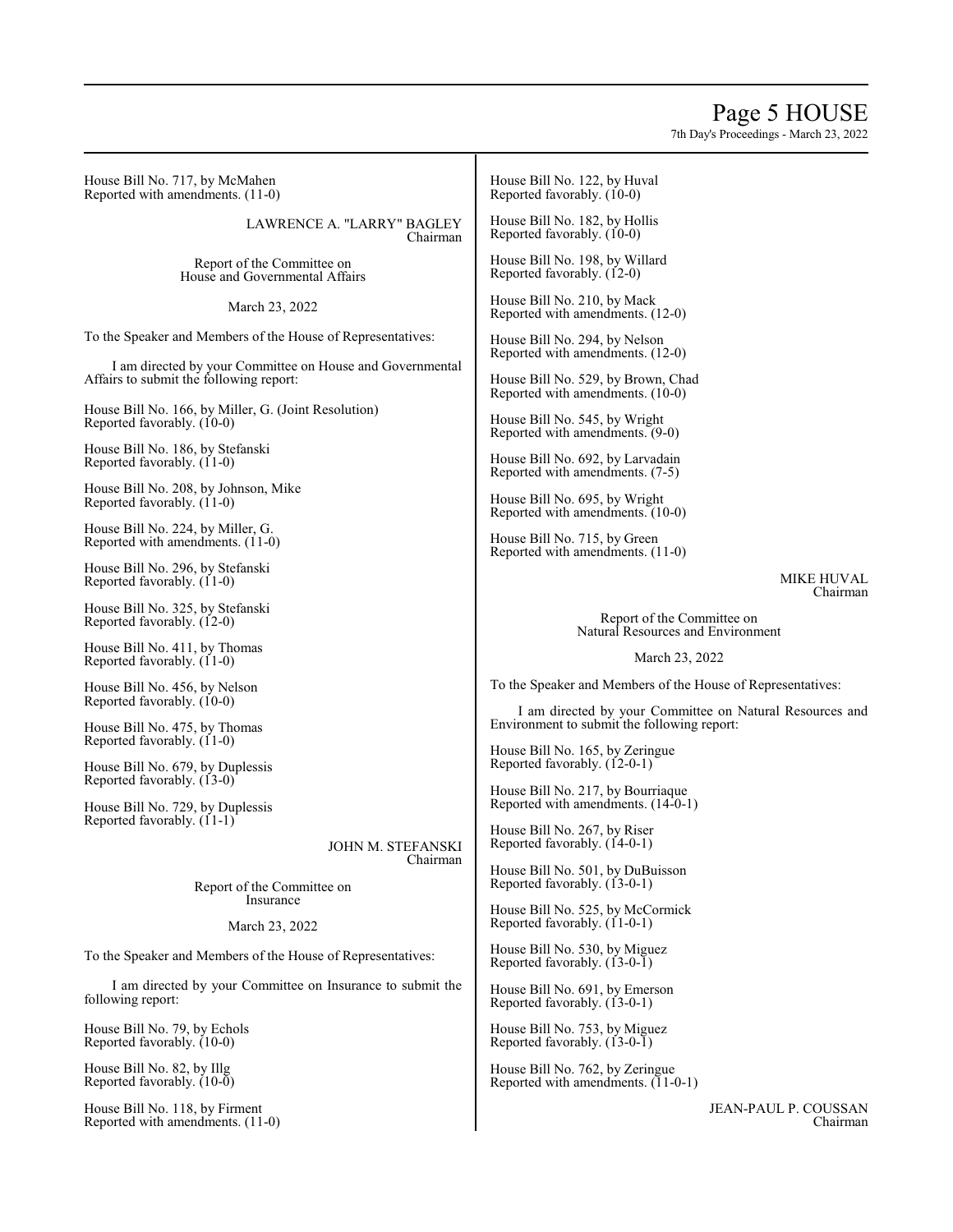## Page 5 HOUSE

7th Day's Proceedings - March 23, 2022

House Bill No. 717, by McMahen Reported with amendments. (11-0)

> LAWRENCE A. "LARRY" BAGLEY Chairman

Report of the Committee on House and Governmental Affairs

March 23, 2022

To the Speaker and Members of the House of Representatives:

I am directed by your Committee on House and Governmental Affairs to submit the following report:

House Bill No. 166, by Miller, G. (Joint Resolution) Reported favorably. (10-0)

House Bill No. 186, by Stefanski Reported favorably. (11-0)

House Bill No. 208, by Johnson, Mike Reported favorably.  $(11-0)$ 

House Bill No. 224, by Miller, G. Reported with amendments. (11-0)

House Bill No. 296, by Stefanski Reported favorably. (11-0)

House Bill No. 325, by Stefanski Reported favorably. (12-0)

House Bill No. 411, by Thomas Reported favorably. (11-0)

House Bill No. 456, by Nelson Reported favorably. (10-0)

House Bill No. 475, by Thomas Reported favorably.  $(11-0)$ 

House Bill No. 679, by Duplessis Reported favorably. (13-0)

House Bill No. 729, by Duplessis Reported favorably.  $(11-1)$ 

> JOHN M. STEFANSKI Chairman

Report of the Committee on Insurance

March 23, 2022

To the Speaker and Members of the House of Representatives:

I am directed by your Committee on Insurance to submit the following report:

House Bill No. 79, by Echols Reported favorably. (10-0)

House Bill No. 82, by Illg Reported favorably. (10-0)

House Bill No. 118, by Firment Reported with amendments. (11-0) House Bill No. 122, by Huval Reported favorably. (10-0)

House Bill No. 182, by Hollis Reported favorably. (10-0)

House Bill No. 198, by Willard Reported favorably. (12-0)

House Bill No. 210, by Mack Reported with amendments. (12-0)

House Bill No. 294, by Nelson Reported with amendments. (12-0)

House Bill No. 529, by Brown, Chad Reported with amendments. (10-0)

House Bill No. 545, by Wright Reported with amendments. (9-0)

House Bill No. 692, by Larvadain Reported with amendments. (7-5)

House Bill No. 695, by Wright Reported with amendments. (10-0)

House Bill No. 715, by Green Reported with amendments. (11-0)

> MIKE HUVAL Chairman

Report of the Committee on Natural Resources and Environment

March 23, 2022

To the Speaker and Members of the House of Representatives:

I am directed by your Committee on Natural Resources and Environment to submit the following report:

House Bill No. 165, by Zeringue Reported favorably. (12-0-1)

House Bill No. 217, by Bourriaque Reported with amendments. (14-0-1)

House Bill No. 267, by Riser Reported favorably. (14-0-1)

House Bill No. 501, by DuBuisson Reported favorably. (13-0-1)

House Bill No. 525, by McCormick Reported favorably. (11-0-1)

House Bill No. 530, by Miguez Reported favorably. (13-0-1)

House Bill No. 691, by Emerson Reported favorably. (13-0-1)

House Bill No. 753, by Miguez Reported favorably. (13-0-1)

House Bill No. 762, by Zeringue Reported with amendments.  $(11-0-1)$ 

> JEAN-PAUL P. COUSSAN Chairman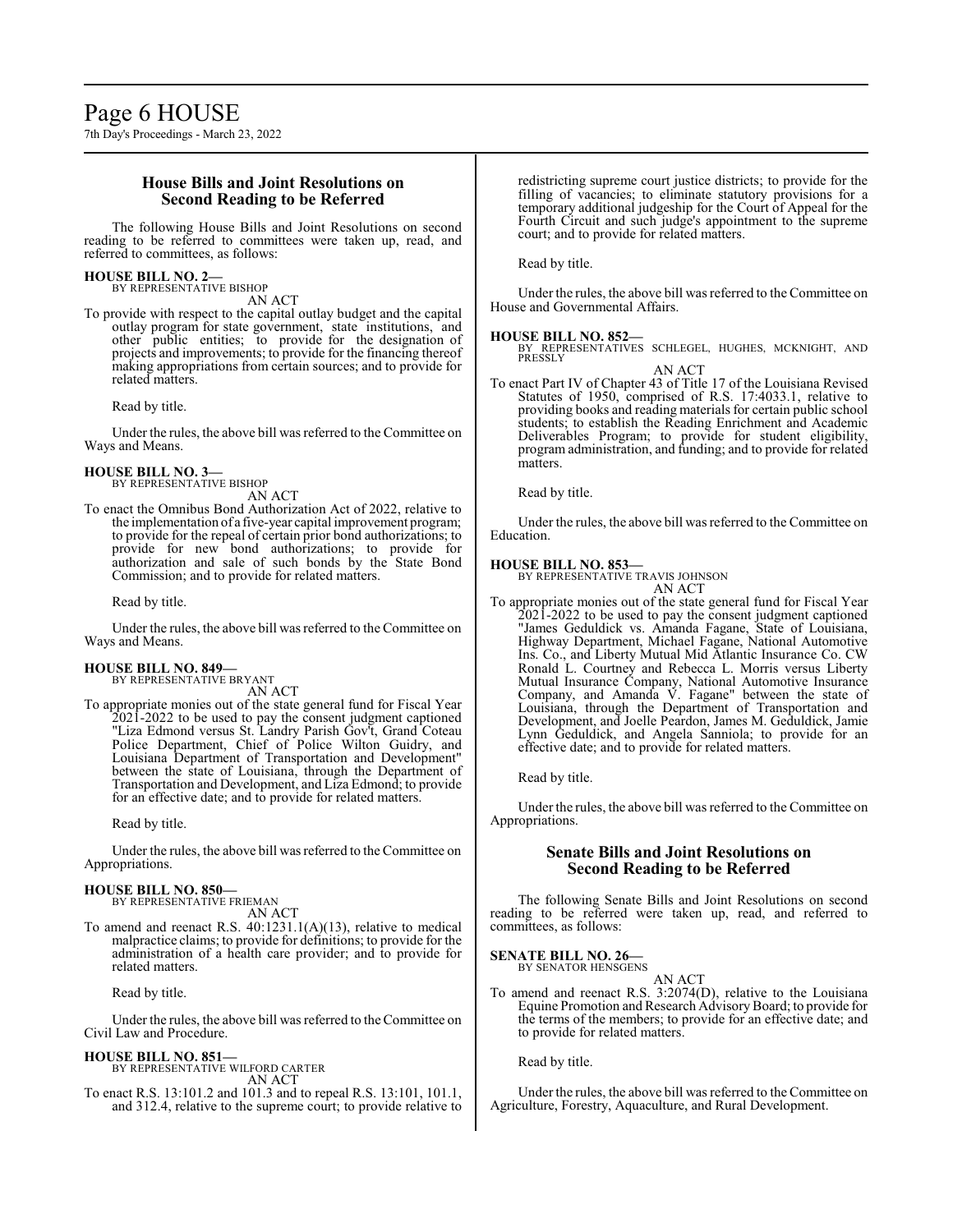## **House Bills and Joint Resolutions on Second Reading to be Referred**

The following House Bills and Joint Resolutions on second reading to be referred to committees were taken up, read, and referred to committees, as follows:

## **HOUSE BILL NO. 2—**

BY REPRESENTATIVE BISHOP AN ACT

To provide with respect to the capital outlay budget and the capital outlay program for state government, state institutions, and other public entities; to provide for the designation of projects and improvements; to provide for the financing thereof making appropriations from certain sources; and to provide for related matters.

Read by title.

Under the rules, the above bill was referred to the Committee on Ways and Means.

#### **HOUSE BILL NO. 3—** BY REPRESENTATIVE BISHOP

AN ACT

To enact the Omnibus Bond Authorization Act of 2022, relative to the implementation of a five-year capital improvement program; to provide for the repeal of certain prior bond authorizations; to provide for new bond authorizations; to provide for authorization and sale of such bonds by the State Bond Commission; and to provide for related matters.

Read by title.

Under the rules, the above bill was referred to the Committee on Ways and Means.

## **HOUSE BILL NO. 849—**

BY REPRESENTATIVE BRYANT

AN ACT To appropriate monies out of the state general fund for Fiscal Year 2021-2022 to be used to pay the consent judgment captioned "Liza Edmond versus St. Landry Parish Gov't, Grand Coteau Police Department, Chief of Police Wilton Guidry, and Louisiana Department of Transportation and Development" between the state of Louisiana, through the Department of Transportation and Development, and Liza Edmond; to provide for an effective date; and to provide for related matters.

Read by title.

Under the rules, the above bill was referred to the Committee on Appropriations.

#### **HOUSE BILL NO. 850—** BY REPRESENTATIVE FRIEMAN

AN ACT

To amend and reenact R.S. 40:1231.1(A)(13), relative to medical malpractice claims; to provide for definitions; to provide for the administration of a health care provider; and to provide for related matters.

Read by title.

Under the rules, the above bill was referred to the Committee on Civil Law and Procedure.

**HOUSE BILL NO. 851—** BY REPRESENTATIVE WILFORD CARTER AN ACT

To enact R.S. 13:101.2 and 101.3 and to repeal R.S. 13:101, 101.1, and 312.4, relative to the supreme court; to provide relative to redistricting supreme court justice districts; to provide for the filling of vacancies; to eliminate statutory provisions for a temporary additional judgeship for the Court of Appeal for the Fourth Circuit and such judge's appointment to the supreme court; and to provide for related matters.

Read by title.

Under the rules, the above bill was referred to the Committee on House and Governmental Affairs.

### **HOUSE BILL NO. 852—**

BY REPRESENTATIVES SCHLEGEL, HUGHES, MCKNIGHT, AND PRESSLY AN ACT

To enact Part IV of Chapter 43 of Title 17 of the Louisiana Revised Statutes of 1950, comprised of R.S. 17:4033.1, relative to providing books and reading materials for certain public school students; to establish the Reading Enrichment and Academic Deliverables Program; to provide for student eligibility, program administration, and funding; and to provide for related matters.

Read by title.

Under the rules, the above bill was referred to the Committee on Education.

#### **HOUSE BILL NO. 853—**

BY REPRESENTATIVE TRAVIS JOHNSON AN ACT

To appropriate monies out of the state general fund for Fiscal Year 2021-2022 to be used to pay the consent judgment captioned "James Geduldick vs. Amanda Fagane, State of Louisiana, Highway Department, Michael Fagane, National Automotive Ins. Co., and Liberty Mutual Mid Atlantic Insurance Co. CW Ronald L. Courtney and Rebecca L. Morris versus Liberty Mutual Insurance Company, National Automotive Insurance Company, and Amanda V. Fagane" between the state of Louisiana, through the Department of Transportation and Development, and Joelle Peardon, James M. Geduldick, Jamie Lynn Geduldick, and Angela Sanniola; to provide for an effective date; and to provide for related matters.

Read by title.

Under the rules, the above bill was referred to the Committee on Appropriations.

## **Senate Bills and Joint Resolutions on Second Reading to be Referred**

The following Senate Bills and Joint Resolutions on second reading to be referred were taken up, read, and referred to committees, as follows:

**SENATE BILL NO. 26—** BY SENATOR HENSGENS

AN ACT

To amend and reenact R.S. 3:2074(D), relative to the Louisiana Equine Promotion and Research AdvisoryBoard; to provide for the terms of the members; to provide for an effective date; and to provide for related matters.

Read by title.

Under the rules, the above bill was referred to the Committee on Agriculture, Forestry, Aquaculture, and Rural Development.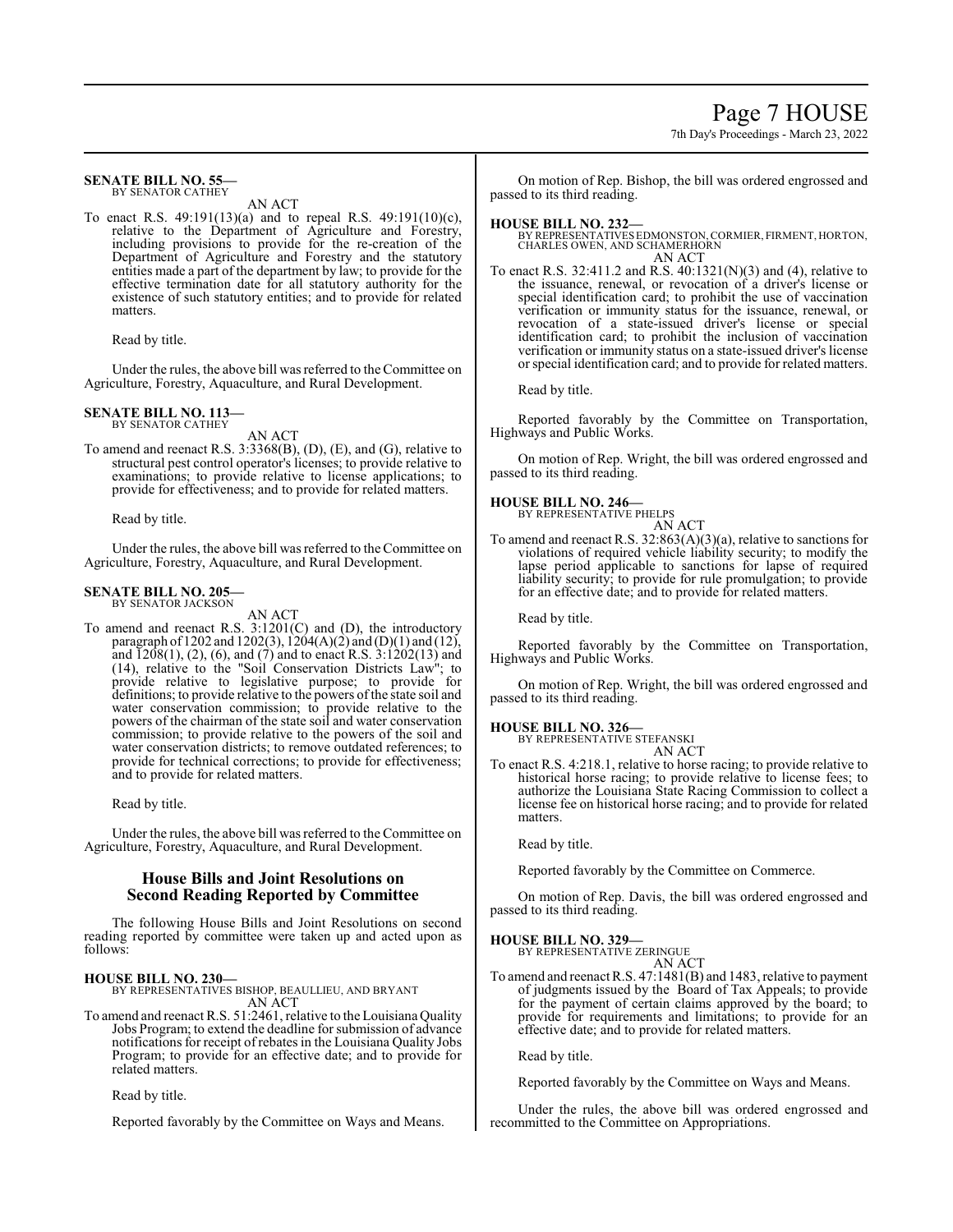## Page 7 HOUSE

7th Day's Proceedings - March 23, 2022

#### **SENATE BILL NO. 55—** BY SENATOR CATHEY

AN ACT

To enact R.S. 49:191(13)(a) and to repeal R.S. 49:191(10)(c), relative to the Department of Agriculture and Forestry, including provisions to provide for the re-creation of the Department of Agriculture and Forestry and the statutory entities made a part of the department by law; to provide for the effective termination date for all statutory authority for the existence of such statutory entities; and to provide for related matters.

Read by title.

Under the rules, the above bill was referred to the Committee on Agriculture, Forestry, Aquaculture, and Rural Development.

#### **SENATE BILL NO. 113—** BY SENATOR CATHEY

AN ACT

To amend and reenact R.S. 3:3368(B), (D), (E), and (G), relative to structural pest control operator's licenses; to provide relative to examinations; to provide relative to license applications; to provide for effectiveness; and to provide for related matters.

Read by title.

Under the rules, the above bill was referred to the Committee on Agriculture, Forestry, Aquaculture, and Rural Development.

#### **SENATE BILL NO. 205—** BY SENATOR JACKSON

AN ACT

To amend and reenact R.S. 3:1201(C) and (D), the introductory paragraph of 1202 and 1202(3), 1204(A)(2) and (D)(1) and (12), and  $\overline{1208(1)}$ , (2), (6), and (7) and to enact R.S.  $3:1202(13)$  and (14), relative to the "Soil Conservation Districts Law"; to provide relative to legislative purpose; to provide for definitions; to provide relative to the powers ofthe state soil and water conservation commission; to provide relative to the powers of the chairman of the state soil and water conservation commission; to provide relative to the powers of the soil and water conservation districts; to remove outdated references; to provide for technical corrections; to provide for effectiveness; and to provide for related matters.

Read by title.

Under the rules, the above bill was referred to the Committee on Agriculture, Forestry, Aquaculture, and Rural Development.

## **House Bills and Joint Resolutions on Second Reading Reported by Committee**

The following House Bills and Joint Resolutions on second reading reported by committee were taken up and acted upon as follows:

**HOUSE BILL NO. 230—** BY REPRESENTATIVES BISHOP, BEAULLIEU, AND BRYANT AN ACT

To amend and reenact R.S. 51:2461, relative to the Louisiana Quality Jobs Program; to extend the deadline for submission of advance notifications for receipt of rebates in the Louisiana Quality Jobs Program; to provide for an effective date; and to provide for related matters.

Read by title.

Reported favorably by the Committee on Ways and Means.

On motion of Rep. Bishop, the bill was ordered engrossed and passed to its third reading.

#### **HOUSE BILL NO. 232—**

BY REPRESENTATIVES EDMONSTON, CORMIER, FIRMENT, HORTON, CHARLES OWEN, AND SCHAMERHORN

AN ACT To enact R.S. 32:411.2 and R.S. 40:1321(N)(3) and (4), relative to the issuance, renewal, or revocation of a driver's license or special identification card; to prohibit the use of vaccination verification or immunity status for the issuance, renewal, or revocation of a state-issued driver's license or special identification card; to prohibit the inclusion of vaccination verification or immunity status on a state-issued driver's license

or special identification card; and to provide for related matters.

Read by title.

Reported favorably by the Committee on Transportation, Highways and Public Works.

On motion of Rep. Wright, the bill was ordered engrossed and passed to its third reading.

## **HOUSE BILL NO. 246—** BY REPRESENTATIVE PHELPS



To amend and reenact R.S. 32:863(A)(3)(a), relative to sanctions for violations of required vehicle liability security; to modify the lapse period applicable to sanctions for lapse of required liability security; to provide for rule promulgation; to provide for an effective date; and to provide for related matters.

Read by title.

Reported favorably by the Committee on Transportation, Highways and Public Works.

On motion of Rep. Wright, the bill was ordered engrossed and passed to its third reading.

## **HOUSE BILL NO. 326—**

BY REPRESENTATIVE STEFANSKI AN ACT

To enact R.S. 4:218.1, relative to horse racing; to provide relative to historical horse racing; to provide relative to license fees; to authorize the Louisiana State Racing Commission to collect a license fee on historical horse racing; and to provide for related matters.

Read by title.

Reported favorably by the Committee on Commerce.

On motion of Rep. Davis, the bill was ordered engrossed and passed to its third reading.

#### **HOUSE BILL NO. 329—**

BY REPRESENTATIVE ZERINGUE AN ACT

To amend and reenact R.S. 47:1481(B) and 1483, relative to payment of judgments issued by the Board of Tax Appeals; to provide for the payment of certain claims approved by the board; to provide for requirements and limitations; to provide for an effective date; and to provide for related matters.

Read by title.

Reported favorably by the Committee on Ways and Means.

Under the rules, the above bill was ordered engrossed and recommitted to the Committee on Appropriations.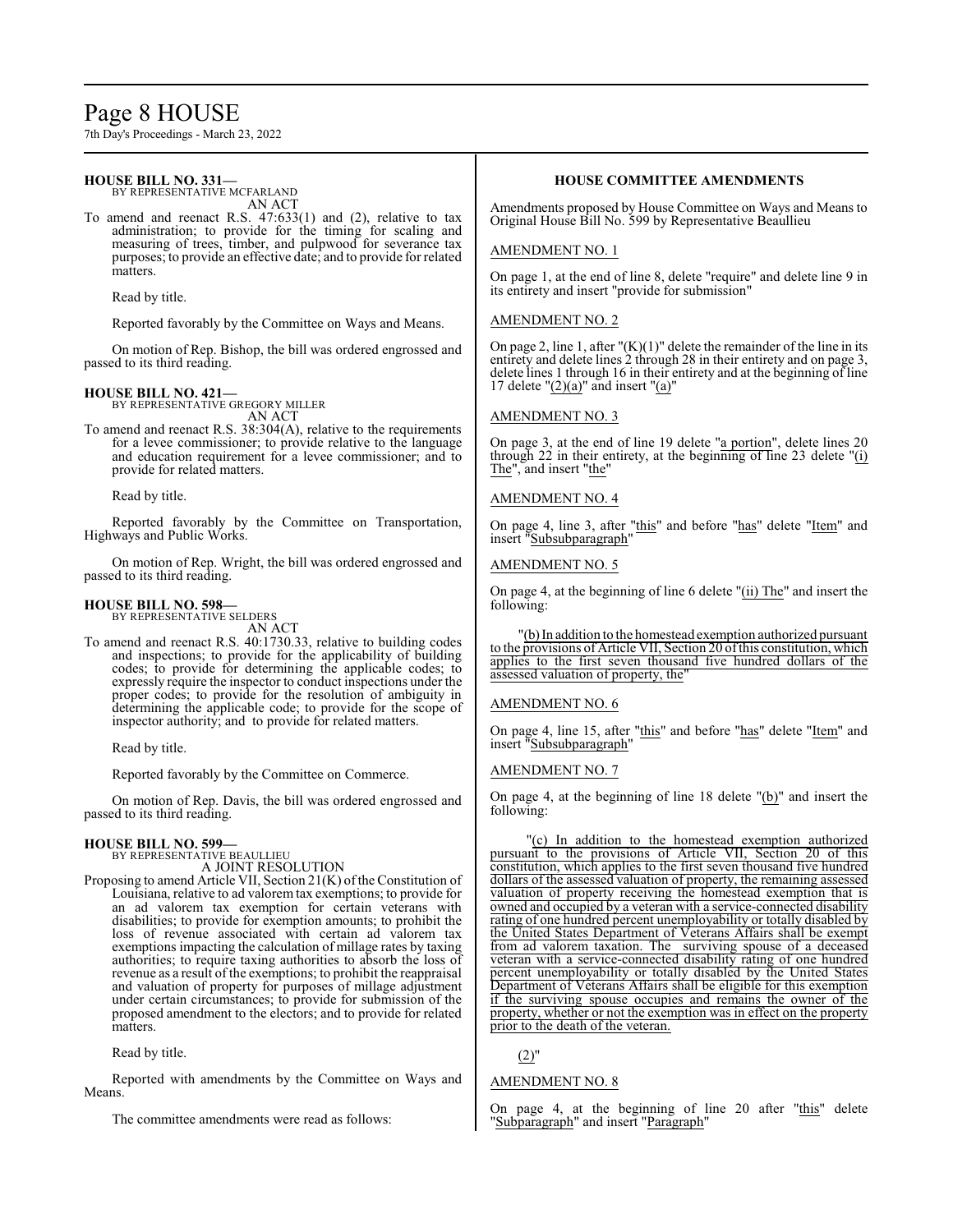# Page 8 HOUSE

7th Day's Proceedings - March 23, 2022

## **HOUSE BILL NO. 331—**

BY REPRESENTATIVE MCFARLAND AN ACT

To amend and reenact R.S. 47:633(1) and (2), relative to tax administration; to provide for the timing for scaling and measuring of trees, timber, and pulpwood for severance tax purposes; to provide an effective date; and to provide for related matters.

Read by title.

Reported favorably by the Committee on Ways and Means.

On motion of Rep. Bishop, the bill was ordered engrossed and passed to its third reading.

## **HOUSE BILL NO. 421—**

BY REPRESENTATIVE GREGORY MILLER AN ACT

To amend and reenact R.S. 38:304(A), relative to the requirements for a levee commissioner; to provide relative to the language and education requirement for a levee commissioner; and to provide for related matters.

Read by title.

Reported favorably by the Committee on Transportation, Highways and Public Works.

On motion of Rep. Wright, the bill was ordered engrossed and passed to its third reading.

## **HOUSE BILL NO. 598—** BY REPRESENTATIVE SELDERS

AN ACT

To amend and reenact R.S. 40:1730.33, relative to building codes and inspections; to provide for the applicability of building codes; to provide for determining the applicable codes; to expressly require the inspector to conduct inspections under the proper codes; to provide for the resolution of ambiguity in determining the applicable code; to provide for the scope of inspector authority; and to provide for related matters.

Read by title.

Reported favorably by the Committee on Commerce.

On motion of Rep. Davis, the bill was ordered engrossed and passed to its third reading.

## **HOUSE BILL NO. 599—** BY REPRESENTATIVE BEAULLIEU

A JOINT RESOLUTION

Proposing to amend Article VII, Section 21(K) of the Constitution of Louisiana, relative to ad valorem tax exemptions; to provide for an ad valorem tax exemption for certain veterans with disabilities; to provide for exemption amounts; to prohibit the loss of revenue associated with certain ad valorem tax exemptions impacting the calculation of millage rates by taxing authorities; to require taxing authorities to absorb the loss of revenue as a result of the exemptions; to prohibit the reappraisal and valuation of property for purposes of millage adjustment under certain circumstances; to provide for submission of the proposed amendment to the electors; and to provide for related matters.

Read by title.

Reported with amendments by the Committee on Ways and Means.

The committee amendments were read as follows:

## **HOUSE COMMITTEE AMENDMENTS**

Amendments proposed by House Committee on Ways and Means to Original House Bill No. 599 by Representative Beaullieu

## AMENDMENT NO. 1

On page 1, at the end of line 8, delete "require" and delete line 9 in its entirety and insert "provide for submission"

## AMENDMENT NO. 2

On page 2, line 1, after " $(K)(1)$ " delete the remainder of the line in its entirety and delete lines 2 through 28 in their entirety and on page 3, delete lines 1 through 16 in their entirety and at the beginning of line 17 delete " $(2)(a)$ " and insert " $(a)$ "

## AMENDMENT NO. 3

On page 3, at the end of line 19 delete "a portion", delete lines 20 through 22 in their entirety, at the beginning of line 23 delete  $"$ (i) The", and insert "the"

## AMENDMENT NO. 4

On page 4, line 3, after "this" and before "has" delete "Item" and insert "Subsubparagraph"

## AMENDMENT NO. 5

On page 4, at the beginning of line 6 delete "(ii) The" and insert the following:

"(b)In addition to the homestead exemption authorized pursuant to the provisions of Article VII, Section 20 ofthis constitution, which applies to the first seven thousand five hundred dollars of the assessed valuation of property, the"

#### AMENDMENT NO. 6

On page 4, line 15, after "this" and before "has" delete "Item" and insert "Subsubparagraph"

#### AMENDMENT NO. 7

On page 4, at the beginning of line 18 delete "(b)" and insert the following:

"(c) In addition to the homestead exemption authorized pursuant to the provisions of Article VII, Section 20 of this constitution, which applies to the first seven thousand five hundred dollars of the assessed valuation of property, the remaining assessed valuation of property receiving the homestead exemption that is owned and occupied by a veteran with a service-connected disability rating of one hundred percent unemployability or totally disabled by the United States Department of Veterans Affairs shall be exempt from ad valorem taxation. The surviving spouse of a deceased veteran with a service-connected disability rating of one hundred percent unemployability or totally disabled by the United States Department of Veterans Affairs shall be eligible for this exemption if the surviving spouse occupies and remains the owner of the property, whether or not the exemption was in effect on the property prior to the death of the veteran.

 $(2)$ "

## AMENDMENT NO. 8

On page 4, at the beginning of line 20 after "this" delete 'Subparagraph" and insert "Paragraph"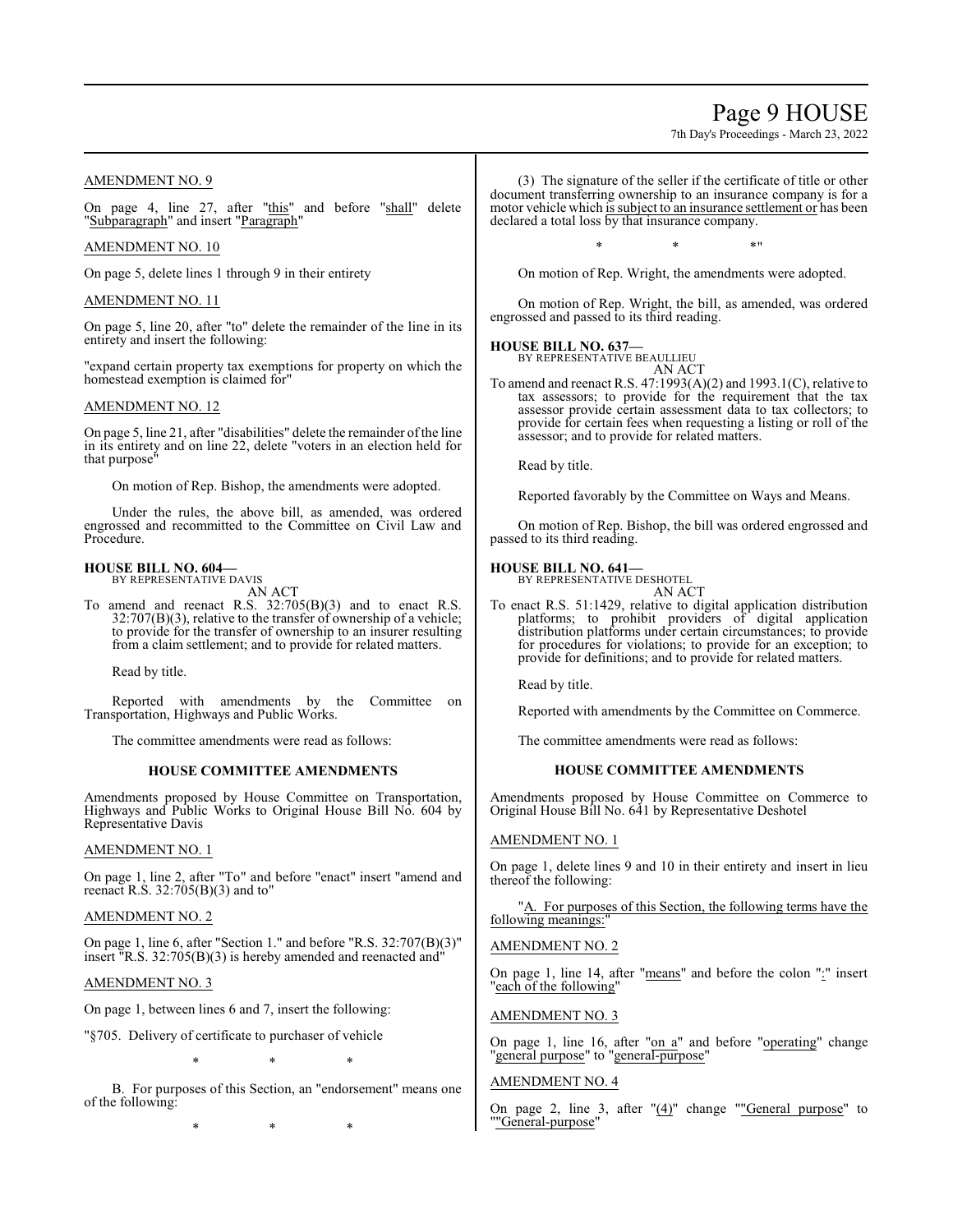## Page 9 HOUSE

7th Day's Proceedings - March 23, 2022

## AMENDMENT NO. 9

On page 4, line 27, after "this" and before "shall" delete "Subparagraph" and insert "Paragraph"

## AMENDMENT NO. 10

On page 5, delete lines 1 through 9 in their entirety

## AMENDMENT NO. 11

On page 5, line 20, after "to" delete the remainder of the line in its entirety and insert the following:

"expand certain property tax exemptions for property on which the homestead exemption is claimed for"

### AMENDMENT NO. 12

On page 5, line 21, after "disabilities" delete the remainder ofthe line in its entirety and on line 22, delete "voters in an election held for that purpose"

On motion of Rep. Bishop, the amendments were adopted.

Under the rules, the above bill, as amended, was ordered engrossed and recommitted to the Committee on Civil Law and Procedure.

# **HOUSE BILL NO. 604—** BY REPRESENTATIVE DAVIS

AN ACT

To amend and reenact R.S. 32:705(B)(3) and to enact R.S.  $32:707(B)(3)$ , relative to the transfer of ownership of a vehicle; to provide for the transfer of ownership to an insurer resulting from a claim settlement; and to provide for related matters.

Read by title.

Reported with amendments by the Committee on Transportation, Highways and Public Works.

The committee amendments were read as follows:

## **HOUSE COMMITTEE AMENDMENTS**

Amendments proposed by House Committee on Transportation, Highways and Public Works to Original House Bill No. 604 by Representative Davis

## AMENDMENT NO. 1

On page 1, line 2, after "To" and before "enact" insert "amend and reenact R.S. 32:705(B)(3) and to"

## AMENDMENT NO. 2

On page 1, line 6, after "Section 1." and before "R.S. 32:707(B)(3)" insert  $"R.S. 32:705(B)(3)$  is hereby amended and reenacted and  $"$ 

## AMENDMENT NO. 3

On page 1, between lines 6 and 7, insert the following:

"§705. Delivery of certificate to purchaser of vehicle

\* \* \*

B. For purposes of this Section, an "endorsement" means one of the following:

\* \* \*

(3) The signature of the seller if the certificate of title or other document transferring ownership to an insurance company is for a motor vehicle which is subject to an insurance settlement or has been declared a total loss by that insurance company.

 $*$  \*  $*$  \*

On motion of Rep. Wright, the amendments were adopted.

On motion of Rep. Wright, the bill, as amended, was ordered engrossed and passed to its third reading.

## **HOUSE BILL NO. 637—**

BY REPRESENTATIVE BEAULLIEU AN ACT

To amend and reenact R.S. 47:1993(A)(2) and 1993.1(C), relative to tax assessors; to provide for the requirement that the tax assessor provide certain assessment data to tax collectors; to provide for certain fees when requesting a listing or roll of the assessor; and to provide for related matters.

Read by title.

Reported favorably by the Committee on Ways and Means.

On motion of Rep. Bishop, the bill was ordered engrossed and passed to its third reading.

## **HOUSE BILL NO. 641—** BY REPRESENTATIVE DESHOTEL

AN ACT

To enact R.S. 51:1429, relative to digital application distribution platforms; to prohibit providers of digital application distribution platforms under certain circumstances; to provide for procedures for violations; to provide for an exception; to provide for definitions; and to provide for related matters.

Read by title.

Reported with amendments by the Committee on Commerce.

The committee amendments were read as follows:

## **HOUSE COMMITTEE AMENDMENTS**

Amendments proposed by House Committee on Commerce to Original House Bill No. 641 by Representative Deshotel

## AMENDMENT NO. 1

On page 1, delete lines 9 and 10 in their entirety and insert in lieu thereof the following:

"A. For purposes of this Section, the following terms have the following meanings:

## AMENDMENT NO. 2

On page 1, line 14, after "means" and before the colon ":" insert "each of the following"

## AMENDMENT NO. 3

On page 1, line 16, after "on a" and before "operating" change "general purpose" to "general-purpose"

## AMENDMENT NO. 4

On page 2, line 3, after  $"(\underline{4})"$  change ""General purpose" to ""General-purpose"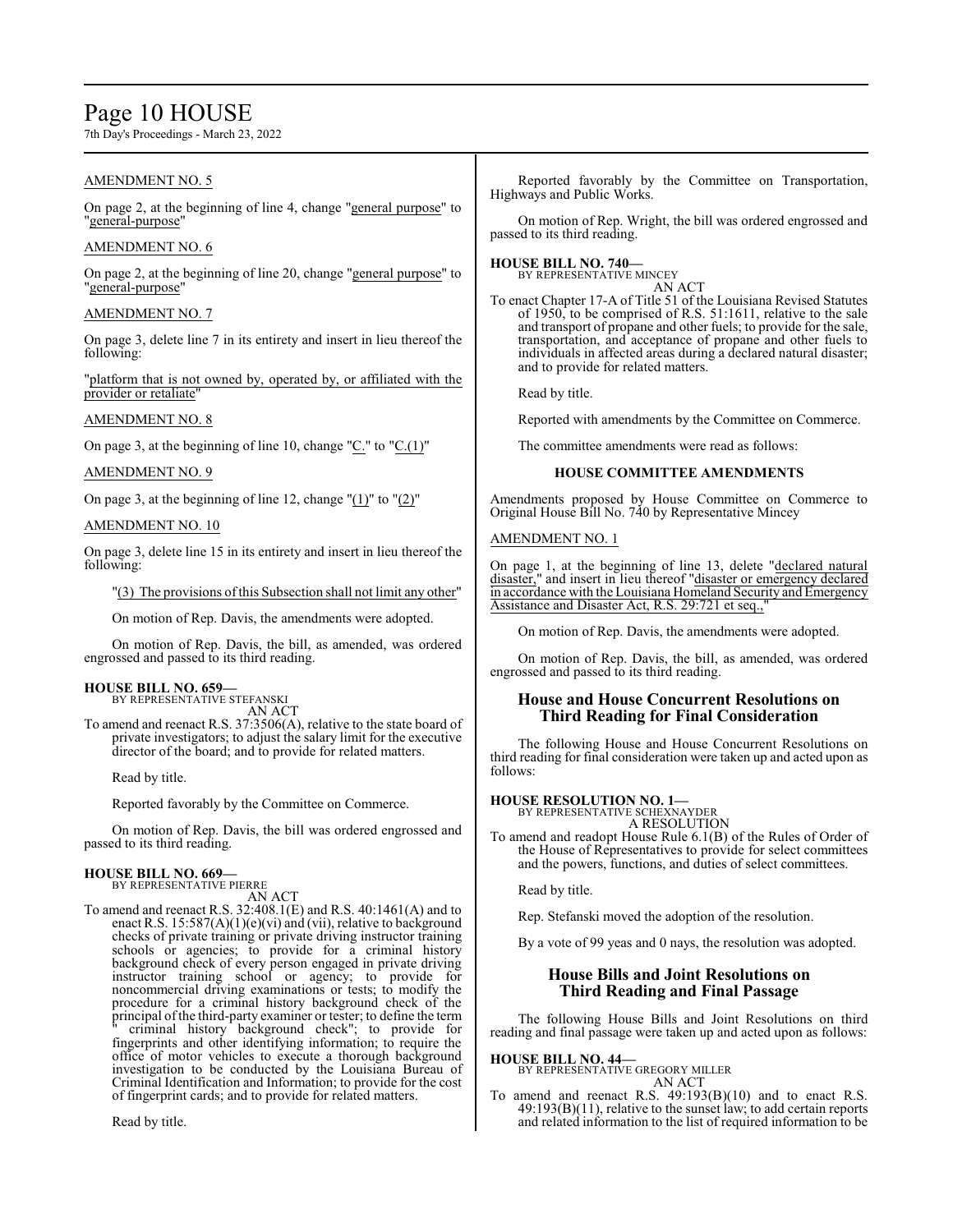## Page 10 HOUSE

7th Day's Proceedings - March 23, 2022

## AMENDMENT NO. 5

On page 2, at the beginning of line 4, change "general purpose" to "general-purpose"

## AMENDMENT NO. 6

On page 2, at the beginning of line 20, change "general purpose" to "general-purpose"

## AMENDMENT NO. 7

On page 3, delete line 7 in its entirety and insert in lieu thereof the following:

"platform that is not owned by, operated by, or affiliated with the provider or retaliate

## AMENDMENT NO. 8

On page 3, at the beginning of line 10, change "C." to "C.(1)"

## AMENDMENT NO. 9

On page 3, at the beginning of line 12, change  $"(\underline{1})"$  to  $"(\underline{2})"$ 

## AMENDMENT NO. 10

On page 3, delete line 15 in its entirety and insert in lieu thereof the following:

"(3) The provisions ofthis Subsection shall not limit any other"

On motion of Rep. Davis, the amendments were adopted.

On motion of Rep. Davis, the bill, as amended, was ordered engrossed and passed to its third reading.

## **HOUSE BILL NO. 659—**

BY REPRESENTATIVE STEFANSKI AN ACT

To amend and reenact R.S. 37:3506(A), relative to the state board of private investigators; to adjust the salary limit for the executive director of the board; and to provide for related matters.

Read by title.

Reported favorably by the Committee on Commerce.

On motion of Rep. Davis, the bill was ordered engrossed and passed to its third reading.

#### **HOUSE BILL NO. 669—** BY REPRESENTATIVE PIERRE

AN ACT

To amend and reenact R.S. 32:408.1(E) and R.S. 40:1461(A) and to enact R.S.  $15:587(A)(1)(e)(vi)$  and (vii), relative to background checks of private training or private driving instructor training schools or agencies; to provide for a criminal history background check of every person engaged in private driving instructor training school or agency; to provide for noncommercial driving examinations or tests; to modify the procedure for a criminal history background check of the principal ofthe third-party examiner or tester; to define the term criminal history background check"; to provide for fingerprints and other identifying information; to require the office of motor vehicles to execute a thorough background investigation to be conducted by the Louisiana Bureau of Criminal Identification and Information; to provide for the cost of fingerprint cards; and to provide for related matters.

Read by title.

Reported favorably by the Committee on Transportation, Highways and Public Works.

On motion of Rep. Wright, the bill was ordered engrossed and passed to its third reading.

#### **HOUSE BILL NO. 740—** BY REPRESENTATIVE MINCEY

AN ACT To enact Chapter 17-A of Title 51 of the Louisiana Revised Statutes of 1950, to be comprised of R.S. 51:1611, relative to the sale

and transport of propane and other fuels; to provide for the sale, transportation, and acceptance of propane and other fuels to individuals in affected areas during a declared natural disaster; and to provide for related matters.

Read by title.

Reported with amendments by the Committee on Commerce.

The committee amendments were read as follows:

## **HOUSE COMMITTEE AMENDMENTS**

Amendments proposed by House Committee on Commerce to Original House Bill No. 740 by Representative Mincey

## AMENDMENT NO. 1

On page 1, at the beginning of line 13, delete "declared natural disaster," and insert in lieu thereof "disaster or emergency declared in accordance with the Louisiana Homeland Security and Emergency Assistance and Disaster Act, R.S. 29:721 et seq.,"

On motion of Rep. Davis, the amendments were adopted.

On motion of Rep. Davis, the bill, as amended, was ordered engrossed and passed to its third reading.

## **House and House Concurrent Resolutions on Third Reading for Final Consideration**

The following House and House Concurrent Resolutions on third reading for final consideration were taken up and acted upon as follows:

## **HOUSE RESOLUTION NO. 1—**

BY REPRESENTATIVE SCHEXNAYDER A RESOLUTION

To amend and readopt House Rule 6.1(B) of the Rules of Order of the House of Representatives to provide for select committees and the powers, functions, and duties of select committees.

Read by title.

Rep. Stefanski moved the adoption of the resolution.

By a vote of 99 yeas and 0 nays, the resolution was adopted.

## **House Bills and Joint Resolutions on Third Reading and Final Passage**

The following House Bills and Joint Resolutions on third reading and final passage were taken up and acted upon as follows:

**HOUSE BILL NO. 44—** BY REPRESENTATIVE GREGORY MILLER

AN ACT

To amend and reenact R.S. 49:193(B)(10) and to enact R.S.  $49:193(B)(11)$ , relative to the sunset law; to add certain reports and related information to the list of required information to be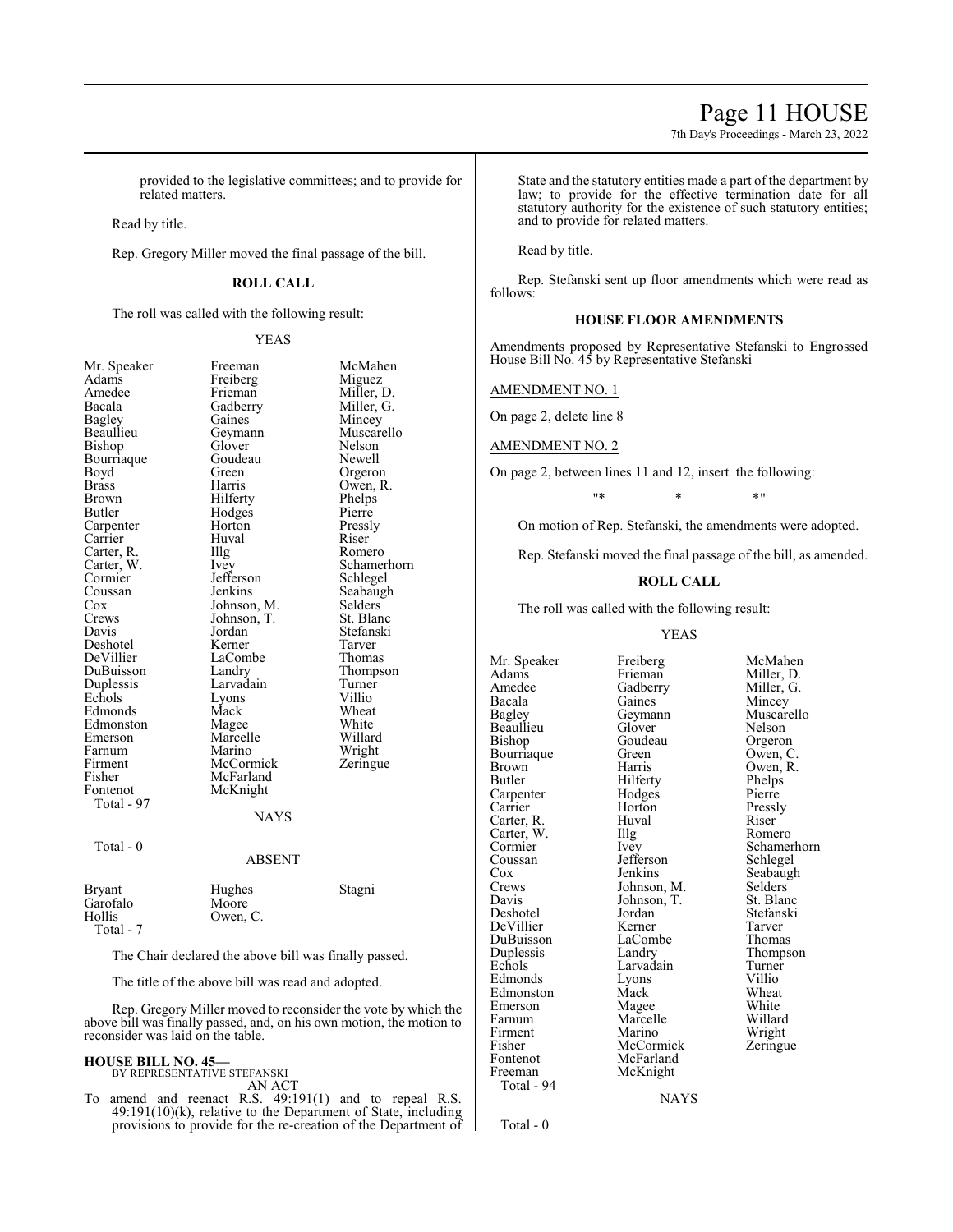## Page 11 HOUSE

7th Day's Proceedings - March 23, 2022

provided to the legislative committees; and to provide for related matters.

Read by title.

Rep. Gregory Miller moved the final passage of the bill.

### **ROLL CALL**

The roll was called with the following result:

YEAS

Freeman McMahen<br>Freiberg Miguez

Mincey<br>Muscarello

Nelson<br>Newell

Owen, R.<br>Phelps

Schamerhorn<br>Schlegel

Seabaugh<br>Selders

Stefanski<br>Tarver

Wheat<br>White

| Mr. Speaker   | Freeman       | McM    |
|---------------|---------------|--------|
| Adams         | Freiberg      | Migu   |
| Amedee        | Frieman       | Mille  |
| Bacala        | Gadberry      | Mille  |
| <b>Bagley</b> | Gaines        | Minc   |
| Beaullieu     | Geymann       | Musc   |
| Bishop        | Glover        | Nelso  |
| Bourriaque    | Goudeau       | Newe   |
| Boyd          | Green         | Orge   |
| <b>Brass</b>  | Harris        | Ower   |
| <b>Brown</b>  | Hilferty      | Phelp  |
| Butler        | Hodges        | Pierr  |
| Carpenter     | Horton        | Press  |
| Carrier       | Huval         | Riser  |
| Carter, R.    | Illg          | Rom    |
| Carter, W.    | Ivey          | Schar  |
| Cormier       | Jefferson     | Schle  |
| Coussan       | Jenkins       | Seaba  |
| Cox           | Johnson, M.   | Selde  |
| Crews         | Johnson, T.   | St. B  |
| Davis         | Jordan        | Stefa  |
| Deshotel      | Kerner        | Tarve  |
| DeVillier     | LaCombe       | Thon   |
| DuBuisson     | Landry        | Thon   |
| Duplessis     | Larvadain     | Turn   |
| Echols        | Lyons         | Villio |
| Edmonds       | Mack          | Whea   |
| Edmonston     | Magee         | Whit   |
| Emerson       | Marcelle      | Willa  |
| Farnum        | Marino        | Wrig   |
| Firment       | McCormick     | Zerin  |
| Fisher        | McFarland     |        |
| Fontenot      | McKnight      |        |
| Total - 97    |               |        |
|               | <b>NAYS</b>   |        |
|               |               |        |
| Total - 0     |               |        |
|               | <b>ABSENT</b> |        |
|               |               |        |
| <b>Bryant</b> | Hughes        | Stagr  |
| Garofalo      | Moore         |        |
| Hollis        | Owen, C.      |        |
| Total - 7     |               |        |
|               |               |        |
|               |               |        |

Freiberg<br>Frieman Frieman Miller, D.<br>Gadberry Miller, G. Gadberry Miller, G.<br>Gaines Mincey Geymann<br>Glover Goudeau<br>Green Green Orgeron<br>Harris Owen R Hilferty Phelps<br>
Hodges Pierre Hodges<br>Horton Horton Pressly<br>
Huval Riser Illg Romero<br>Ivey Schame! Jefferson<br>Jenkins Johnson, M. Selders<br>Johnson, T. St. Blanc Johnson, T.<br>Jordan Kerner Tarver<br>
LaCombe Thomas LaCombe Landry Thompson<br>Larvadain Turner Larvadain Turner<br>Lyons Villio Lyons<br>Mack Magee White<br>
Marcelle Willard Marcelle Willard<br>
Marino Wright Marino Wright<br>
McCormick Zeringue McCormick McFarland McKnight

|                                                       | ADƏLIN I                    |        |
|-------------------------------------------------------|-----------------------------|--------|
| <b>Bryant</b><br>Garofalo<br>Hollis<br>$T_{\alpha+1}$ | Hughes<br>Moore<br>Owen, C. | Stagni |

The Chair declared the above bill was finally passed.

The title of the above bill was read and adopted.

Rep. Gregory Miller moved to reconsider the vote by which the above bill was finally passed, and, on his own motion, the motion to reconsider was laid on the table.

#### **HOUSE BILL NO. 45—** BY REPRESENTATIVE STEFANSKI

AN ACT

To amend and reenact R.S. 49:191(1) and to repeal R.S. 49:191(10)(k), relative to the Department of State, including provisions to provide for the re-creation of the Department of State and the statutory entities made a part of the department by law; to provide for the effective termination date for all statutory authority for the existence of such statutory entities; and to provide for related matters.

Read by title.

Rep. Stefanski sent up floor amendments which were read as follows:

#### **HOUSE FLOOR AMENDMENTS**

Amendments proposed by Representative Stefanski to Engrossed House Bill No. 45 by Representative Stefanski

#### AMENDMENT NO. 1

On page 2, delete line 8

AMENDMENT NO. 2

On page 2, between lines 11 and 12, insert the following:

"\* \* \*"

On motion of Rep. Stefanski, the amendments were adopted.

Rep. Stefanski moved the final passage of the bill, as amended.

#### **ROLL CALL**

The roll was called with the following result:

YEAS

Mr. Speaker Freiberg McMahen<br>Adams Frieman Miller. D. Adams Frieman Miller, D.<br>Amedee Gadberry Miller, G. Amedee Gadberry<br>Bacala Gaines Bacala Gaines Mincey<br>
Bagley Geymann Muscare Beaullieu Glover Nelson<br>Bishop Goudeau Orgeron Bourriaque Green<br>Brown Harris Brown Harris Owen, R.<br>Butler Hilferty Phelps Carpenter Hodges Pierre<br>
Carrier Horton Pressly Carter, R. Huval Riser Carter, W. Huval Romero Carter, W. Illg<br>Cormier Ivey Coussan Jefferson<br>Cox Jenkins Cox Jenkins Seabaugh<br>Crews Johnson, M. Selders Crews Johnson, M. Selders<br>Davis Johnson, T. St. Blanc Davis Johnson, T.<br>Deshotel Jordan DeVillier Kerner Tarver DuBuisson LaCom<br>
Duplessis Landry Duplessis Landry Thompson<br>
Echols Larvadain Turner Edmonds Lyons Villio<br>Edmonston Mack Wheat Edmonston Mack Wheat<br>
Emerson Magee White Emerson Magee White<br>
Farnum Marcelle Willard Farnum Marcelle<br>Firment Marino Firment Marino Wright<br>
Fisher McCormick Zeringue Fisher McCormick<br>Fontenot McFarland Fontenot McFarland<br>Freeman McKnight Total - 94

Goudeau Orgeron<br>Green Owen, C. Hilferty<br>Hodges Pierre Horton Pressl<br>Huval Riser Jordan Stefanski<br>Kerner Tarver Larvadain McKnight

Geymann Muscarello<br>Glover Nelson Cormier Ivey Schamerhorn<br>
Coussan Iefferson Schlegel

NAYS

Total - 0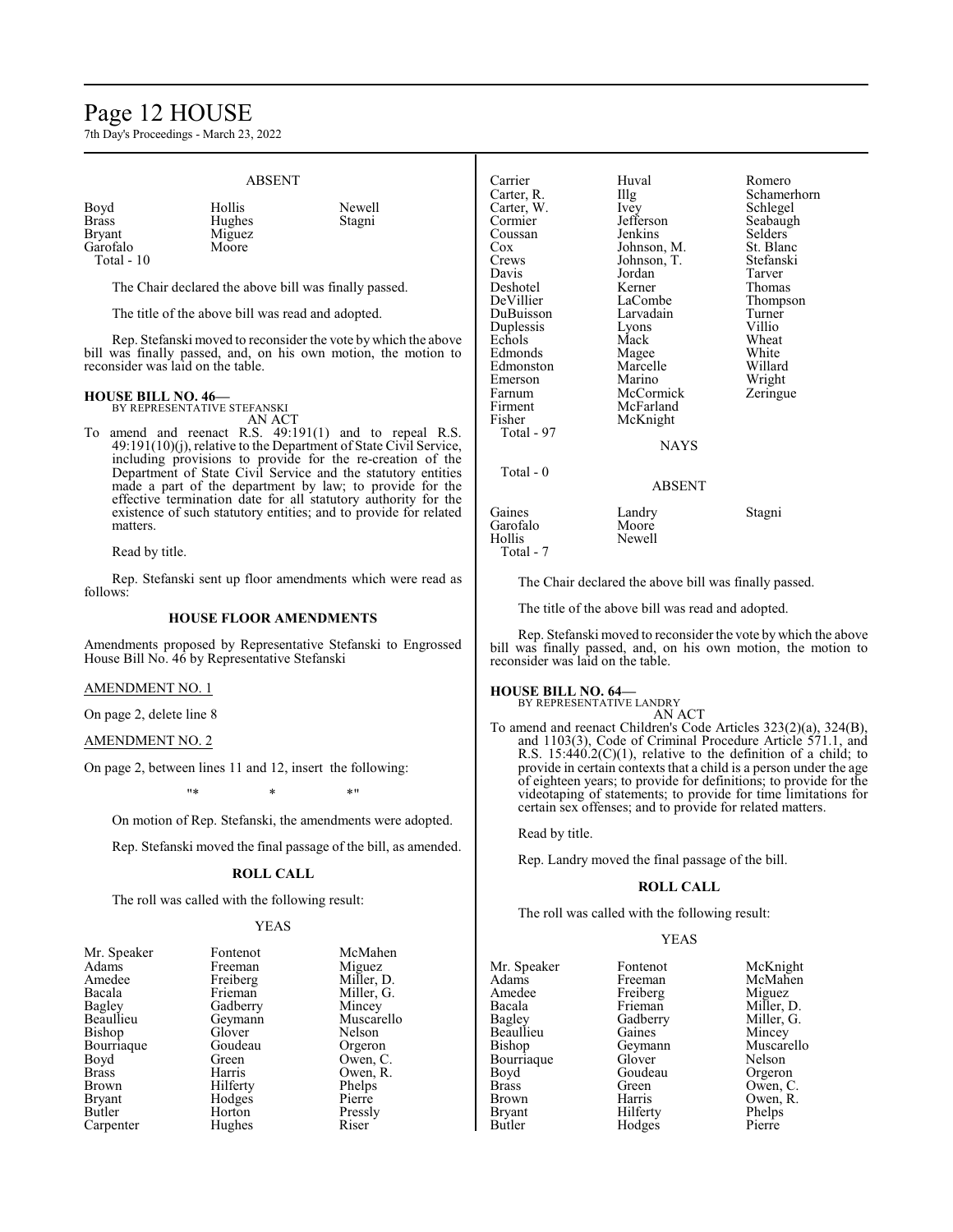## Page 12 HOUSE

7th Day's Proceedings - March 23, 2022

#### ABSENT Boyd Hollis Newell Brass Hughes<br>Bryant Miguez Miguez<br>Moore Garofalo Total - 10 The Chair declared the above bill was finally passed. The title of the above bill was read and adopted. Rep. Stefanski moved to reconsider the vote by which the above bill was finally passed, and, on his own motion, the motion to reconsider was laid on the table. Carrier Huval Romero Carter, R. Illg Schamerhorn<br>Carter, W. Ivey Schlegel Carter, W. Ivey Schlegel Cormier Jefferson Seabaugh<br>
Coussan Jenkins Selders Coussan Jenkins Selders Cox Johnson, M. St. Blanc Crews Johnson, T. Stefanski Davis Jordan Tarver Deshotel Kerner Thomas DeVillier LaCombe Thompson DuBuisson Larvadain Turner Duplessis Lyons Villio Echols Mack Wheat Edmonds Magee White Edmonston Marcelle Willard

#### **HOUSE BILL NO. 46—** BY REPRESENTATIVE STEFANSKI

AN ACT

To amend and reenact R.S. 49:191(1) and to repeal R.S. 49:191(10)(j), relative to the Department of State Civil Service, including provisions to provide for the re-creation of the Department of State Civil Service and the statutory entities made a part of the department by law; to provide for the effective termination date for all statutory authority for the existence of such statutory entities; and to provide for related matters.

Read by title.

Rep. Stefanski sent up floor amendments which were read as follows:

#### **HOUSE FLOOR AMENDMENTS**

Amendments proposed by Representative Stefanski to Engrossed House Bill No. 46 by Representative Stefanski

#### AMENDMENT NO. 1

On page 2, delete line 8

### AMENDMENT NO. 2

On page 2, between lines 11 and 12, insert the following:

"\* \* \*"

On motion of Rep. Stefanski, the amendments were adopted.

Rep. Stefanski moved the final passage of the bill, as amended.

## **ROLL CALL**

The roll was called with the following result:

#### YEAS

| Adams         | Freeman  | Miguez     |
|---------------|----------|------------|
| Amedee        | Freiberg | Miller, D. |
| Bacala        | Frieman  | Miller, G. |
| Bagley        | Gadberry | Mincey     |
| Beaullieu     | Geymann  | Muscarel   |
| Bishop        | Glover   | Nelson     |
| Bourriaque    | Goudeau  | Orgeron    |
| Boyd          | Green    | Owen, C.   |
| <b>Brass</b>  | Harris   | Owen, R.   |
| Brown         | Hilferty | Phelps     |
| <b>Bryant</b> | Hodges   | Pierre     |
| Butler        | Horton   | Pressly    |
| Carpenter     | Hughes   | Riser      |
|               |          |            |

Mr. Speaker Fontenot

| McMahen    |
|------------|
| Miguez     |
| Miller, D. |
| Miller, G. |
| Mincey     |
| Muscarello |
| Nelson     |
| Orgeron    |
| Owen, C.   |
| Owen, R.   |
| Phelps     |
| Pierre     |
| Pressly    |
| Riser      |

| Carrier    | Huval       | Romero    |
|------------|-------------|-----------|
| Carter, R. | Illg        | Schamer   |
| Carter, W. | Ivey        | Schlegel  |
| Cormier    | Jefferson   | Seabaugl  |
| Coussan    | Jenkins     | Selders   |
| $\cos$     | Johnson, M. | St. Blanc |
| Crews      | Johnson, T. | Stefanski |
| Davis      | Jordan      | Tarver    |
| Deshotel   | Kerner      | Thomas    |
| DeVillier  | LaCombe     | Thompso   |
| DuBuisson  | Larvadain   | Turner    |
| Duplessis  | Lyons       | Villio    |
| Echols     | Mack        | Wheat     |
| Edmonds    | Magee       | White     |
| Edmonston  | Marcelle    | Willard   |
| Emerson    | Marino      | Wright    |
| Farnum     | McCormick   | Zeringue  |
| Firment    | McFarland   |           |
| Fisher     | McKnight    |           |
| Total - 97 |             |           |
|            | <b>NAYS</b> |           |
| Total - 0  |             |           |
|            | ABSENT      |           |
| Gaines     | Landry      | Stagni    |
| Garofalo   | Moore       |           |
| Hollis     | Newell      |           |

The Chair declared the above bill was finally passed.

The title of the above bill was read and adopted.

Rep. Stefanski moved to reconsider the vote by which the above bill was finally passed, and, on his own motion, the motion to reconsider was laid on the table.

## **HOUSE BILL NO. 64—**

Hollis Total - 7

BY REPRESENTATIVE LANDRY AN ACT

To amend and reenact Children's Code Articles 323(2)(a), 324(B), and 1103(3), Code of Criminal Procedure Article 571.1, and R.S.  $15:440.2(C)(1)$ , relative to the definition of a child; to provide in certain contexts that a child is a person under the age of eighteen years; to provide for definitions; to provide for the videotaping of statements; to provide for time limitations for certain sex offenses; and to provide for related matters.

Read by title.

Rep. Landry moved the final passage of the bill.

#### **ROLL CALL**

The roll was called with the following result:

### YEAS

| Mr. Speaker   | Fontenot | McKnight   |
|---------------|----------|------------|
| Adams         | Freeman  | McMahen    |
| Amedee        | Freiberg | Miguez     |
| Bacala        | Frieman  | Miller, D. |
| Bagley        | Gadberry | Miller, G. |
| Beaullieu     | Gaines   | Mincey     |
| Bishop        | Geymann  | Muscarello |
| Bourriaque    | Glover   | Nelson     |
| Boyd          | Goudeau  | Orgeron    |
| <b>Brass</b>  | Green    | Owen, C.   |
| Brown         | Harris   | Owen, R.   |
| <b>Bryant</b> | Hilferty | Phelps     |
| Butler        | Hodges   | Pierre     |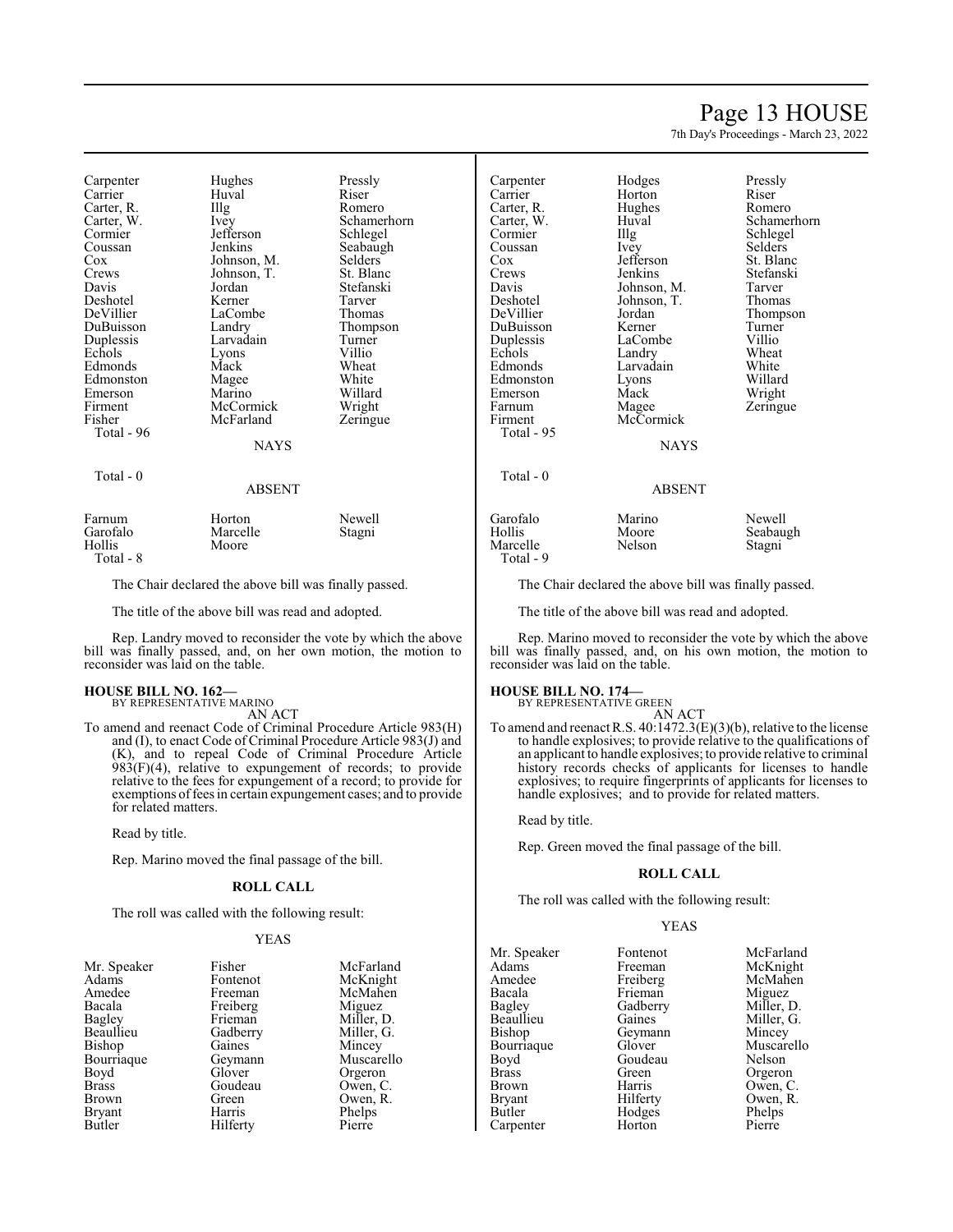## Page 13 HOUSE

Schamerhorn

Selders<br>St. Blanc

Stefanski<br>Tarver

Turner<br>Villio

Zeringue

7th Day's Proceedings - March 23, 2022

| Carpenter<br>Carrier<br>Carter, R.<br>Carter, W.<br>Cormier<br>Coussan<br>Cox<br>Crews<br>Davis<br>Deshotel<br>DeVillier<br>DuBuisson<br>Duplessis<br>Echols<br>Edmonds<br>Edmonston<br>Emerson<br>Firment<br>Fisher<br>Total - 96 | Hughes<br>Huval<br>Illg<br>Ivey<br>Jefferson<br>Jenkins<br>Johnson, M.<br>Johnson, T.<br>Jordan<br>Kerner<br>LaCombe<br>Landry<br>Larvadain<br>Lyons<br>Mack<br>Magee<br>Marino<br>McCormick<br>McFarland | Pressly<br>Riser<br>Romero<br>Schamerhorn<br>Schlegel<br>Seabaugh<br>Selders<br>St. Blanc<br>Stefanski<br>Tarver<br>Thomas<br>Thompson<br>Turner<br>Villio<br>Wheat<br>White<br>Willard<br>Wright<br>Zeringue | Carpenter<br>Carrier<br>Carter, R.<br>Carter, W.<br>Cormier<br>Coussan<br>$\cos$<br>Crews<br>Davis<br>Deshotel<br>DeVillier<br>DuBuisson<br>Duplessis<br>Echols<br>Edmonds<br>Edmonston<br>Emerson<br>Farnum<br>Firment<br>Total - 95 | Hodges<br>Horton<br>Hughes<br>Huval<br>Illg<br>Ivey<br>Jefferson<br>Jenkins<br>Johnson, M.<br>Johnson, T.<br>Jordan<br>Kerner<br>LaCombe<br>Landry<br>Larvadain<br>Lyons<br>Mack<br>Magee<br>McCormick | Pressl<br>Riser<br>Romer<br>Scham<br>Schleg<br>Selder<br>St. Bla<br>Stefan<br>Tarver<br>Thoma<br>Thomp<br>Turner<br>Villio<br>Wheat<br>White<br>Willar<br>Wrigh<br>Zering |
|------------------------------------------------------------------------------------------------------------------------------------------------------------------------------------------------------------------------------------|-----------------------------------------------------------------------------------------------------------------------------------------------------------------------------------------------------------|---------------------------------------------------------------------------------------------------------------------------------------------------------------------------------------------------------------|---------------------------------------------------------------------------------------------------------------------------------------------------------------------------------------------------------------------------------------|--------------------------------------------------------------------------------------------------------------------------------------------------------------------------------------------------------|---------------------------------------------------------------------------------------------------------------------------------------------------------------------------|
|                                                                                                                                                                                                                                    | <b>NAYS</b>                                                                                                                                                                                               |                                                                                                                                                                                                               |                                                                                                                                                                                                                                       | <b>NAYS</b>                                                                                                                                                                                            |                                                                                                                                                                           |
| Total - 0                                                                                                                                                                                                                          | <b>ABSENT</b>                                                                                                                                                                                             |                                                                                                                                                                                                               | Total - 0                                                                                                                                                                                                                             | <b>ABSENT</b>                                                                                                                                                                                          |                                                                                                                                                                           |
| Farnum<br>Garofalo<br>Hollis<br>Total - 8                                                                                                                                                                                          | Horton<br>Marcelle<br>Moore                                                                                                                                                                               | Newell<br>Stagni                                                                                                                                                                                              | Garofalo<br>Hollis<br>Marcelle<br>Total - 9                                                                                                                                                                                           | Marino<br>Moore<br>Nelson                                                                                                                                                                              | Newel<br>Seaba<br>Stagni                                                                                                                                                  |
|                                                                                                                                                                                                                                    | The Chair declared the above bill was finally passed.                                                                                                                                                     |                                                                                                                                                                                                               |                                                                                                                                                                                                                                       | The Chair declared the above bill was finally p                                                                                                                                                        |                                                                                                                                                                           |

The title of the above bill was read and adopted.

Rep. Landry moved to reconsider the vote by which the above bill was finally passed, and, on her own motion, the motion to reconsider was laid on the table.

#### **HOUSE BILL NO. 162—** BY REPRESENTATIVE MARINO

AN ACT

To amend and reenact Code of Criminal Procedure Article 983(H) and (I), to enact Code of Criminal Procedure Article 983(J) and (K), and to repeal Code of Criminal Procedure Article  $983(F)(4)$ , relative to expungement of records; to provide relative to the fees for expungement of a record; to provide for exemptions offees in certain expungement cases; and to provide for related matters.

Read by title.

Rep. Marino moved the final passage of the bill.

### **ROLL CALL**

The roll was called with the following result:

#### YEAS

| Mr. Speaker   | Fisher   | McFarland  |
|---------------|----------|------------|
| Adams         | Fontenot | McKnight   |
| Amedee        | Freeman  | McMahen    |
| Bacala        | Freiberg | Miguez     |
| Bagley        | Frieman  | Miller, D. |
| Beaullieu     | Gadberry | Miller, G. |
| Bishop        | Gaines   | Mincey     |
| Bourriaque    | Geymann  | Muscarello |
| Boyd          | Glover   | Orgeron    |
| <b>Brass</b>  | Goudeau  | Owen, C.   |
| Brown         | Green    | Owen, R.   |
| <b>Bryant</b> | Harris   | Phelps     |
| Butler        | Hilferty | Pierre     |
|               |          |            |

 $ler, D.$ ler, G.<br>icey scarello

Pressly<br>
Pressly<br>
Riser ughes Romero<br>
uval Schame g Schlegel fferson<br>nkins hnson, M. Tarver<br>hnson, T. Thomas hnson, T.<br>rdan rdan Thompson<br>Perner Turner aCombe Villio<br>
undry Wheat arvadain White vons Willard<br>The Willard<br>Wright ack Wright<br>agee Zeringu leCormick NAYS

arino Newell<br>
oore Seabau oore Seabaugh<br>elson Stagni

Stagni

The Chair declared the above bill was finally passed.

The title of the above bill was read and adopted.

Rep. Marino moved to reconsider the vote by which the above bill was finally passed, and, on his own motion, the motion to reconsider was laid on the table.

## **HOUSE BILL NO. 174—**

BY REPRESENTATIVE GREEN AN ACT

To amend and reenact R.S. 40:1472.3(E)(3)(b), relative to the license to handle explosives; to provide relative to the qualifications of an applicant to handle explosives; to provide relative to criminal history records checks of applicants for licenses to handle explosives; to require fingerprints of applicants for licenses to handle explosives; and to provide for related matters.

Read by title.

Rep. Green moved the final passage of the bill.

### **ROLL CALL**

The roll was called with the following result:

## YEAS

Mr. Speaker Fontenot McFarland<br>
Adams Freeman McKnight Adams Freeman McKnight<br>Amedee Freiberg McMahen Amedee Freiberg McMahen<br>Bacala Frieman Miguez Bacala Frieman<br>Bagley Gadberry Bagley Gadberry Miller, D.<br>Beaullieu Gaines Miller, G. Beaullieu Gaines Miller, G.<br>Bishop Geymann Mincey Bourriaque Glover Muscarello<br>Boyd Goudeau Nelson Boyd Goudeau<br>Brass Green Brass Green Orgeron<br>Brown Harris Owen C Brown Harris Owen, C.<br>Bryant Hilferty Owen, R. Bryant Hilferty Owen, R. Carpenter

Geymann Mincey<br>Glover Muscarello Hodges Phelps<br>
Horton Pierre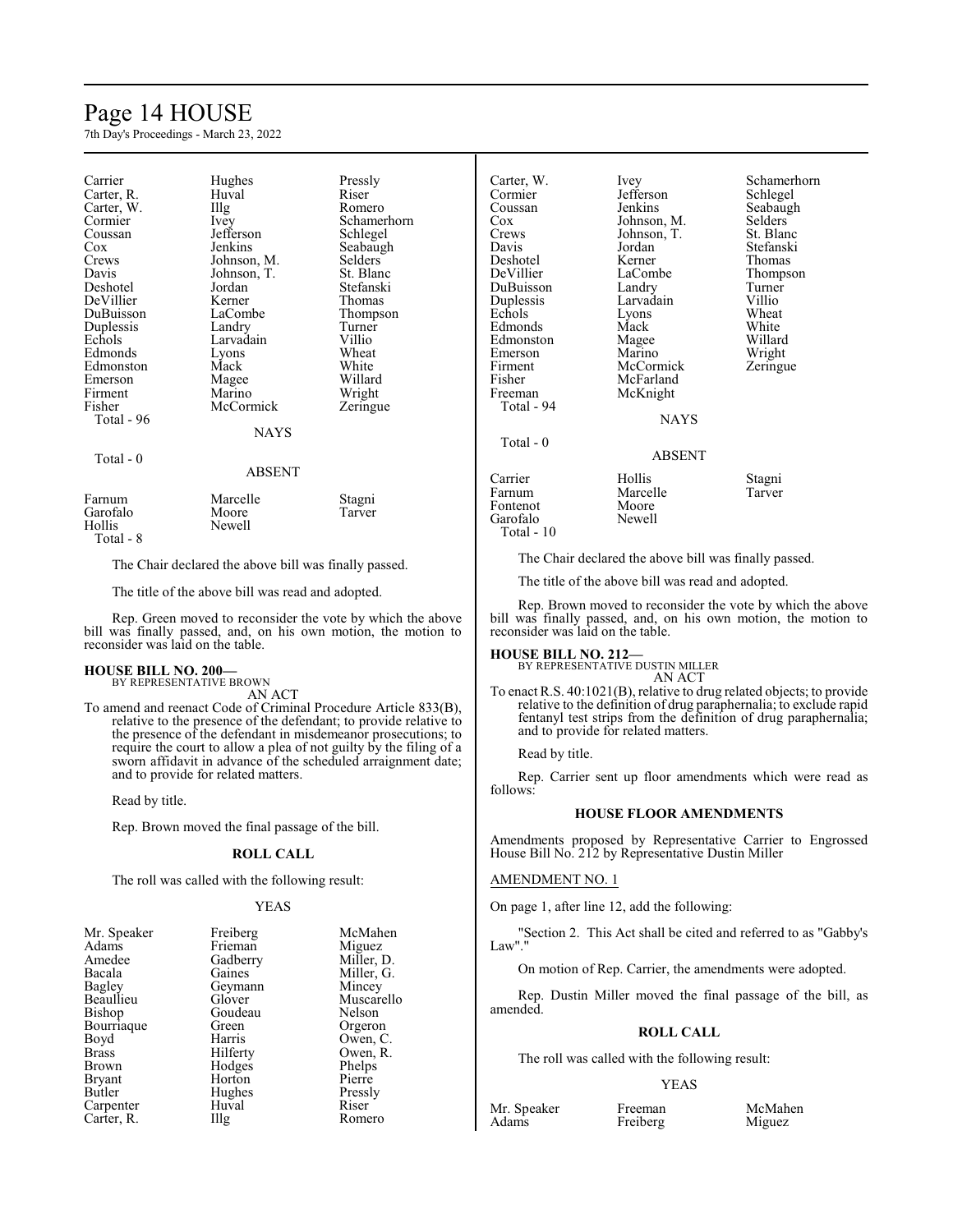## Page 14 HOUSE

7th Day's Proceedings - March 23, 2022

| Carrier<br>Carter, R.<br>Carter, W.<br>Cormier<br>Coussan<br>Cox<br>Crews<br>Davis<br>Deshotel<br>DeVillier<br>DuBuisson<br>Duplessis<br>Echols<br>Edmonds<br>Edmonston<br>Emerson<br>Firment<br>Fisher<br>Total - 96 | Hughes<br>Huval<br>Illg<br>Ivey<br>Jefferson<br>Jenkins<br>Johnson, M.<br>Johnson, T.<br>Jordan<br>Kerner<br>LaCombe<br>Landry<br>Larvadain<br>Lyons<br>Mack<br>Magee<br>Marino<br>McCormick<br>NAYS | Pressly<br>Riser<br>Romero<br>Schamerhorn<br>Schlegel<br>Seabaugh<br>Selders<br>St. Blanc<br>Stefanski<br>Thomas<br>Thompson<br>Turner<br>Villio<br>Wheat<br>White<br>Willard<br>Wright<br>Zeringue |
|-----------------------------------------------------------------------------------------------------------------------------------------------------------------------------------------------------------------------|------------------------------------------------------------------------------------------------------------------------------------------------------------------------------------------------------|-----------------------------------------------------------------------------------------------------------------------------------------------------------------------------------------------------|
| Total - 0                                                                                                                                                                                                             | ABSENT                                                                                                                                                                                               |                                                                                                                                                                                                     |
| Farnum<br>Garofalo<br>Hollis                                                                                                                                                                                          | Marcelle<br>Moore<br>Newell                                                                                                                                                                          | Stagni<br>Tarver                                                                                                                                                                                    |

Total - 8

The Chair declared the above bill was finally passed.

The title of the above bill was read and adopted.

Rep. Green moved to reconsider the vote by which the above bill was finally passed, and, on his own motion, the motion to reconsider was laid on the table.

#### **HOUSE BILL NO. 200—** BY REPRESENTATIVE BROWN

AN ACT

To amend and reenact Code of Criminal Procedure Article 833(B), relative to the presence of the defendant; to provide relative to the presence of the defendant in misdemeanor prosecutions; to require the court to allow a plea of not guilty by the filing of a sworn affidavit in advance of the scheduled arraignment date; and to provide for related matters.

Read by title.

Rep. Brown moved the final passage of the bill.

## **ROLL CALL**

The roll was called with the following result:

#### YEAS

| Mr. Speaker  | Freiberg | McMahen    |
|--------------|----------|------------|
| Adams        | Frieman  | Miguez     |
| Amedee       | Gadberry | Miller, D. |
| Bacala       | Gaines   | Miller, G. |
| Bagley       | Geymann  | Mincey     |
| Beaullieu    | Glover   | Muscarello |
| Bishop       | Goudeau  | Nelson     |
| Bourriaque   | Green    | Orgeron    |
| Boyd         | Harris   | Owen, C.   |
| <b>Brass</b> | Hilferty | Owen, R.   |
| Brown        | Hodges   | Phelps     |
| Bryant       | Horton   | Pierre     |
| Butler       | Hughes   | Pressly    |
| Carpenter    | Huval    | Riser      |
| Carter, R.   | Illg     | Romero     |

| Carter, W.            | Ivey        | Schamerhorn |
|-----------------------|-------------|-------------|
| Cormier               | Jefferson   | Schlegel    |
| Coussan               | Jenkins     | Seabaugh    |
| Cox                   | Johnson, M. | Selders     |
| Crews                 | Johnson, T. | St. Blanc   |
| Davis                 | Jordan      | Stefanski   |
| Deshotel              | Kerner      | Thomas      |
| DeVillier             | LaCombe     | Thompson    |
| DuBuisson             | Landry      | Turner      |
| Duplessis             | Larvadain   | Villio      |
| Echols                | Lyons       | Wheat       |
| Edmonds               | Mack        | White       |
| Edmonston             | Magee       | Willard     |
| Emerson               | Marino      | Wright      |
| Firment               | McCormick   | Zeringue    |
| Fisher                | McFarland   |             |
|                       |             |             |
| Freeman<br>Total - 94 | McKnight    |             |
|                       |             |             |
|                       | NAYS        |             |
| Total - 0             |             |             |
|                       | ABSENT      |             |
| Carrier               | Hollis      | Stagni      |
| Farnum                | Marcelle    | Tarver      |
| Fontenot              | Moore       |             |
| Garofalo              | Newell      |             |
|                       |             |             |

The Chair declared the above bill was finally passed.

The title of the above bill was read and adopted.

Rep. Brown moved to reconsider the vote by which the above bill was finally passed, and, on his own motion, the motion to reconsider was laid on the table.

## **HOUSE BILL NO. 212—** BY REPRESENTATIVE DUSTIN MILLER

Total - 10

AN ACT

To enact R.S. 40:1021(B), relative to drug related objects; to provide relative to the definition of drug paraphernalia; to exclude rapid fentanyl test strips from the definition of drug paraphernalia; and to provide for related matters.

Read by title.

Rep. Carrier sent up floor amendments which were read as follows:

## **HOUSE FLOOR AMENDMENTS**

Amendments proposed by Representative Carrier to Engrossed House Bill No. 212 by Representative Dustin Miller

#### AMENDMENT NO. 1

On page 1, after line 12, add the following:

'Section 2. This Act shall be cited and referred to as "Gabby's Law"."

On motion of Rep. Carrier, the amendments were adopted.

Rep. Dustin Miller moved the final passage of the bill, as amended.

### **ROLL CALL**

The roll was called with the following result:

#### YEAS

Freiberg

Mr. Speaker Freeman McMahen<br>Adams Freiberg Miguez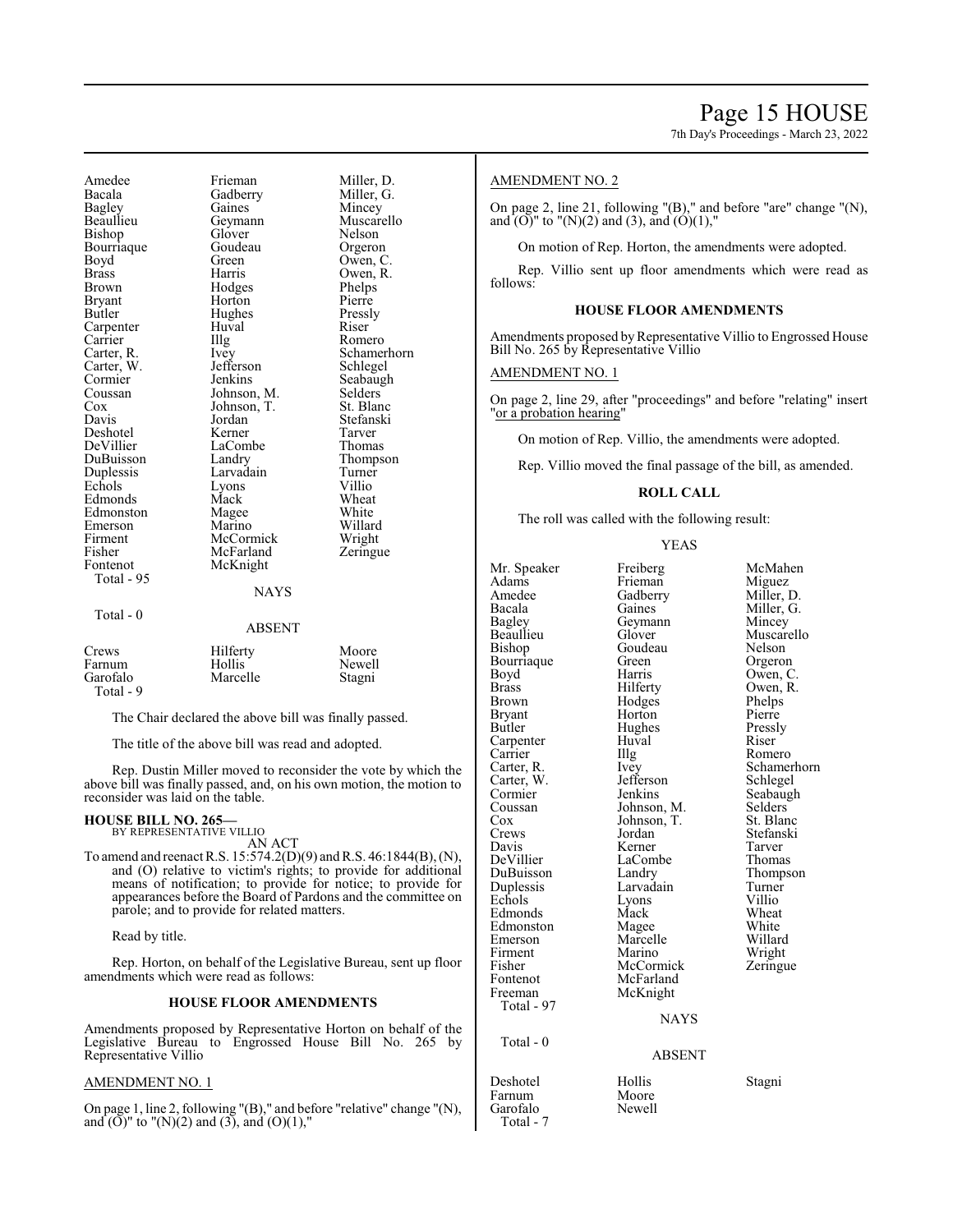7th Day's Proceedings - March 23, 2022

Amedee Frieman Miller, D.<br>Bacala Gadberry Miller, G. Bacala Gadberry<br>Bagley Gaines Bagley Gaines Mincey Bishop Glover Nelson<br>Bourriaque Goudeau Orgeron Bourriaque Boyd Green Owen, C.<br>Brass Harris Owen, R. Brass Harris Owen, R. Brown Hodges Phelps<br>Bryant Horton Pierre Bryant Horton Pierre<br>Butler Hughes Pressly Carpenter Huval Riservice<br>
Carrier IIIg Carrier Illg Romero<br>Carter, R. Ivey Schame! Carter, R. Ivey Schamerhorn<br>
Carter, W. Jefferson Schlegel Carter, W. Jefferson Schlegel<br>
Cormier Jenkins Seabaugh Cormier Jenkins Seabaugh<br>Coussan Johnson, M. Selders Coussan Johnson, M. Selders Cox Johnson, T.<br>Davis Jordan Deshotel Kerner Tarver DuBuisson Landry Thomp<br>
Duplessis Larvadain Turner Duplessis Larvadain Turne<sup>r</sup><br>Echols Lyons Villio Edmonds Mack Wheat<br>
Edmonston Magee White Edmonston Magee White Emerson Marino Willard<br>Firment McCormick Wright Firment McCormick<br>
Fisher McFarland Fisher McFarland Zeringue<br>Fontenot McKnight Total - 95 Total - 0

Geymann Muscarello<br>Glover Nelson Hughes Pressl<br>Huval Riser Jordan Stefanski<br>Kerner Tarver LaCombe Thomas<br>
Landry Thompson Lyons Villio<br>
Mack Wheat McKnight NAYS

## ABSENT Crews Hilferty Moore<br>Farnum Hollis Newell Farnum Hollis Newell<br>Garofalo Marcelle Stagni Marcelle Total - 9

The Chair declared the above bill was finally passed.

The title of the above bill was read and adopted.

Rep. Dustin Miller moved to reconsider the vote by which the above bill was finally passed, and, on his own motion, the motion to reconsider was laid on the table.

#### **HOUSE BILL NO. 265—** BY REPRESENTATIVE VILLIO

AN ACT

To amend and reenact R.S. 15:574.2(D)(9) and R.S. 46:1844(B), (N), and (O) relative to victim's rights; to provide for additional means of notification; to provide for notice; to provide for appearances before the Board of Pardons and the committee on parole; and to provide for related matters.

Read by title.

Rep. Horton, on behalf of the Legislative Bureau, sent up floor amendments which were read as follows:

### **HOUSE FLOOR AMENDMENTS**

Amendments proposed by Representative Horton on behalf of the Legislative Bureau to Engrossed House Bill No. 265 by Representative Villio

#### AMENDMENT NO. 1

On page 1, line 2, following "(B)," and before "relative" change "(N), and  $(\overline{O})$ " to "(N)(2) and (3), and (O)(1),"

## AMENDMENT NO. 2

On page 2, line 21, following "(B)," and before "are" change "(N), and  $(O)$ " to " $(N)(2)$  and  $(3)$ , and  $(O)(1)$ ,"

On motion of Rep. Horton, the amendments were adopted.

Rep. Villio sent up floor amendments which were read as follows:

### **HOUSE FLOOR AMENDMENTS**

Amendments proposed by Representative Villio to Engrossed House Bill No. 265 by Representative Villio

## AMENDMENT NO. 1

On page 2, line 29, after "proceedings" and before "relating" insert "or a probation hearing"

On motion of Rep. Villio, the amendments were adopted.

Rep. Villio moved the final passage of the bill, as amended.

### **ROLL CALL**

The roll was called with the following result:

#### YEAS

Mr. Speaker Freiberg McMahen<br>Adams Frieman Miguez Adams Frieman Miguez<br>
Amedee Gadberry Miller, D. Amedee Gadberry<br>Bacala Gaines Bacala Gaines Miller, G.<br>Bagley Geymann Mincey Bagley Geymann<br>Beaullieu Glover Beaullieu Glover Muscarello<br>Bishop Goudeau Nelson Bourriaque Green<br>Boyd Harris Brass Hilferty Owen, R.<br>Brown Hodges Phelps Brown Hodges Phelps<br>Bryant Horton Pierre Bryant Horton Pierre<br>Butler Hughes Pressly Carpenter Huval Riser<br>Carrier Hulg Romero Carrier Illg<br>Carter, R. Ivey Carter, W. Jefferson Cormier Jenkins Seabaugh<br>Coussan Johnson, M. Selders Coussan Johnson, M. Selders Cox Johnson, T.<br>Crews Jordan Crews Jordan Stefanski Davis Kerner Tarver DeVillier LaCombe Thomas<br>DuBuisson Landry Thompson DuBuisson Landry Thomp<br>
Duplessis Larvadain Turner Echols Lyons Villio<br>Edmonds Mack Wheat Edmonds Mack Wheat<br>Edmonston Magee White Edmonston Magee White<br>
Emerson Marcelle Willard Firment Marino<br>Fisher McCormick Fontenot McFarland<br>Freeman McKnight Total - 97

Total - 0

Garofalo Total - 7

Goudeau Nelson<br>Green Orgeron Harris Owen, C.<br>Hilferty Owen, R. Hughes Pressl<br>Huval Riser Larvadain Turner<br>Lyons Villio Marcelle Willard<br>
Marino Wright McKnight

Ivey Schamerhorn<br>Jefferson Schlegel Zeringue

#### NAYS

#### ABSENT

Deshotel Hollis Stagni

- 
- Moore<br>Newell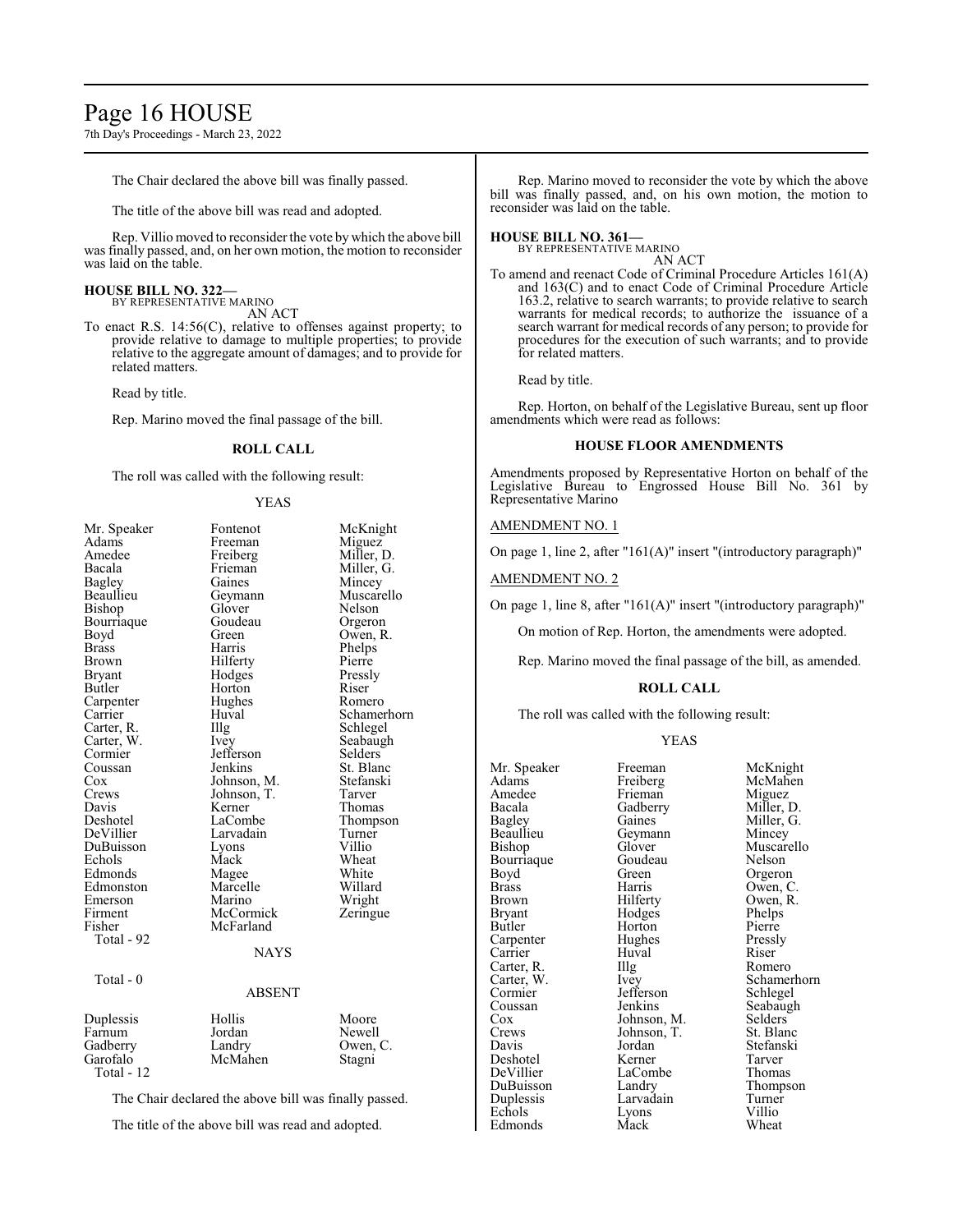# Page 16 HOUSE

7th Day's Proceedings - March 23, 2022

The Chair declared the above bill was finally passed.

The title of the above bill was read and adopted.

Rep. Villio moved to reconsider the vote by which the above bill was finally passed, and, on her own motion, the motion to reconsider was laid on the table.

#### **HOUSE BILL NO. 322—** BY REPRESENTATIVE MARINO

AN ACT

To enact R.S. 14:56(C), relative to offenses against property; to provide relative to damage to multiple properties; to provide relative to the aggregate amount of damages; and to provide for related matters.

Read by title.

Rep. Marino moved the final passage of the bill.

## **ROLL CALL**

The roll was called with the following result:

#### YEAS

| Mr. Speaker<br>Adams<br>Amedee<br>Bacala<br>Bagley<br>Beaullieu<br>Bishop<br>Bourriaque<br>Boyd<br><b>Brass</b><br><b>Brown</b><br><b>Bryant</b><br>Butler<br>Carpenter<br>Carrier<br>Carter, R.<br>Carter, W.<br>Cormier<br>Coussan<br>Cox<br>Crews<br>Davis<br>Deshotel<br>DeVillier<br>DuBuisson<br>Echols<br>Edmonds<br>Edmonston<br>Emerson<br>Firment<br>Fisher<br>Total - 92<br>Total - 0 | Fontenot<br>Freeman<br>Freiberg<br>Frieman<br>Gaines<br>Geymann<br>Glover<br>Goudeau<br>Green<br>Harris<br>Hilferty<br>Hodges<br>Horton<br>Hughes<br>Huval<br>Illg<br><i>lvey</i><br>Jefferson<br>Jenkins<br>Johnson, M.<br>Johnson, T.<br>Kerner<br>LaCombe<br>Larvadain<br>Lyons<br>Mack<br>Magee<br>Marcelle<br>Marino<br>McCormick<br>McFarland<br><b>NAYS</b> | McKnight<br>Miguez<br>Miller, D.<br>Miller, G.<br>Mincey<br>Muscarello<br>Nelson<br>Orgeron<br>Owen, R.<br>Phelps<br>Pierre<br>Pressly<br>Riser<br>Romero<br>Schamerhorn<br>Schlegel<br>Seabaugh<br>Selders<br>St. Blanc<br>Stefanski<br>Tarver<br>Thomas<br>Thompson<br>Turner<br>Villio<br>Wheat<br>White<br>Willard<br>Wright<br>Zeringue |
|--------------------------------------------------------------------------------------------------------------------------------------------------------------------------------------------------------------------------------------------------------------------------------------------------------------------------------------------------------------------------------------------------|--------------------------------------------------------------------------------------------------------------------------------------------------------------------------------------------------------------------------------------------------------------------------------------------------------------------------------------------------------------------|----------------------------------------------------------------------------------------------------------------------------------------------------------------------------------------------------------------------------------------------------------------------------------------------------------------------------------------------|
|                                                                                                                                                                                                                                                                                                                                                                                                  | <b>ABSENT</b>                                                                                                                                                                                                                                                                                                                                                      |                                                                                                                                                                                                                                                                                                                                              |
| Duplessis<br>Farnum<br>Gadberry<br>Garofalo<br>Total - 12                                                                                                                                                                                                                                                                                                                                        | Hollis<br>Jordan<br>Landry<br>McMahen                                                                                                                                                                                                                                                                                                                              | Moore<br>Newell<br>Owen, C.<br>Stagni                                                                                                                                                                                                                                                                                                        |

The Chair declared the above bill was finally passed.

The title of the above bill was read and adopted.

Rep. Marino moved to reconsider the vote by which the above bill was finally passed, and, on his own motion, the motion to reconsider was laid on the table.

#### **HOUSE BILL NO. 361—** BY REPRESENTATIVE MARINO

AN ACT

To amend and reenact Code of Criminal Procedure Articles 161(A) and 163(C) and to enact Code of Criminal Procedure Article 163.2, relative to search warrants; to provide relative to search warrants for medical records; to authorize the issuance of a search warrant for medical records of any person; to provide for procedures for the execution of such warrants; and to provide for related matters.

Read by title.

Rep. Horton, on behalf of the Legislative Bureau, sent up floor amendments which were read as follows:

### **HOUSE FLOOR AMENDMENTS**

Amendments proposed by Representative Horton on behalf of the Legislative Bureau to Engrossed House Bill No. 361 by Representative Marino

#### AMENDMENT NO. 1

On page 1, line 2, after "161(A)" insert "(introductory paragraph)"

### AMENDMENT NO. 2

On page 1, line 8, after "161(A)" insert "(introductory paragraph)"

On motion of Rep. Horton, the amendments were adopted.

Rep. Marino moved the final passage of the bill, as amended.

#### **ROLL CALL**

The roll was called with the following result:

#### YEAS

Mr. Speaker Freeman McKnight<br>
Adams Freiberg McMahen Amedee Frieman Miguez<br>Bacala Gadberry Miller, D. Bacala Gadberry<br>Bagley Gaines Bagley Gaines Miller, G.<br>Beaullieu Geymann Mincey Beaullieu Geymann<br>Bishop Glover Bourriaque Goude<br>Boyd Green Boyd Green Orgeron<br>Brass Harris Owen, C Brass Harris Owen, C. Brown Hilferty Owen, R.<br>Bryant Hodges Phelps Bryant Hodges Phelps<br>Butler Horton Pierre Carpenter Hughes Pressl<br>Carrier Huval Riser Carrier Huval Riser<br>Carter, R. Illg Romero Carter, R. Illg<br>Carter, W. Ivey Carter, W. Ivey Schamerhorn<br>
Cormier Iefferson Schlegel Cormier Jefferson<br>Coussan Jenkins Coussan Jenkins Seabaugh<br>Cox Johnson, M. Selders Cox Johnson, M. Selders<br>Crews Johnson, T. St. Blanc Crews Johnson, T.<br>Davis Jordan Deshotel Kerner Tarver DeVillier LaCombe<br>
DuBuisson Landry DuBuisson Landry Thompson Echols Lyons Villio **Edmonds** 

Freiberg McMahen<br>Frieman Miguez Glover Muscarello<br>Goudeau Nelson Horton Pierre<br>
Hughes Pressly Jordan Stefanski<br>Kerner Tarver Larvadain Turner<br>Lyons Villio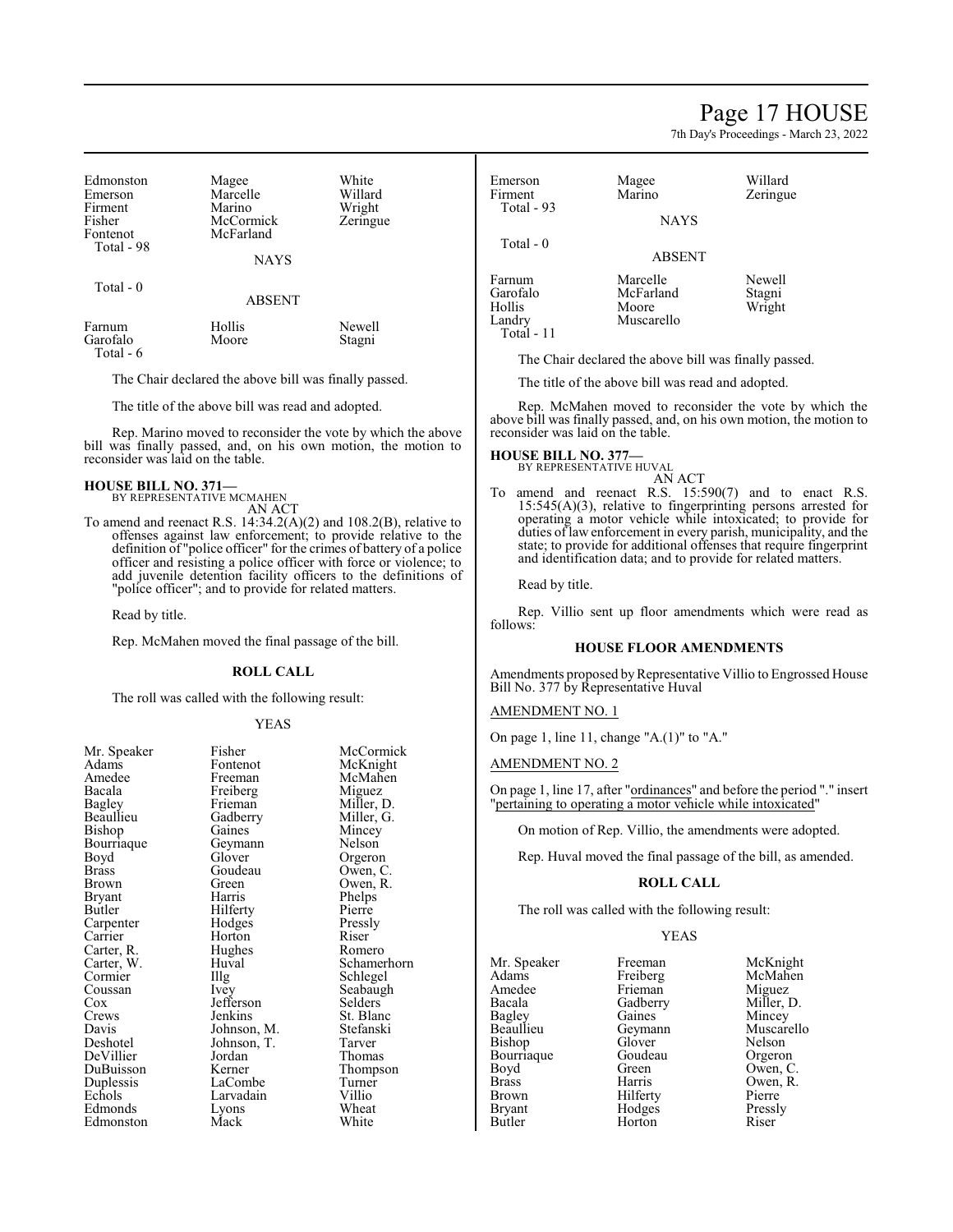## Page 17 HOUSE

7th Day's Proceedings - March 23, 2022

Zeringue

| Edmonston<br>Emerson<br>Firment<br>Fisher<br>Fontenot<br>Total - 98 | Magee<br>Marcelle<br>Marino<br>McCormick<br>McFarland<br><b>NAYS</b> | White<br>Willard<br>Wright<br>Zeringue |
|---------------------------------------------------------------------|----------------------------------------------------------------------|----------------------------------------|
| Total $-0$                                                          | <b>ABSENT</b>                                                        |                                        |
| Farnum<br>Garofalo<br>Total - 6                                     | Hollis<br>Moore                                                      | Newell<br>Stagni                       |

The Chair declared the above bill was finally passed.

The title of the above bill was read and adopted.

Rep. Marino moved to reconsider the vote by which the above bill was finally passed, and, on his own motion, the motion to reconsider was laid on the table.

### **HOUSE BILL NO. 371—** BY REPRESENTATIVE MCMAHEN

AN ACT To amend and reenact R.S. 14:34.2(A)(2) and 108.2(B), relative to offenses against law enforcement; to provide relative to the definition of "police officer" for the crimes of battery of a police officer and resisting a police officer with force or violence; to

add juvenile detention facility officers to the definitions of "police officer"; and to provide for related matters.

Read by title.

Rep. McMahen moved the final passage of the bill.

#### **ROLL CALL**

The roll was called with the following result:

#### YEAS

| Mr. Speaker  | Fisher      | McCormick  |
|--------------|-------------|------------|
| Adams        | Fontenot    | McKnight   |
| Amedee       | Freeman     | McMahen    |
| Bacala       | Freiberg    | Miguez     |
| Bagley       | Frieman     | Miller, D. |
| Beaullieu    | Gadberry    | Miller, G. |
| Bishop       | Gaines      | Mincey     |
| Bourriaque   | Geymann     | Nelson     |
| Boyd         | Glover      | Orgeron    |
| <b>Brass</b> | Goudeau     | Owen, C.   |
| Brown        | Green)      | Owen, R.   |
| Bryant       | Harris      | Phelps     |
| Butler       | Hilferty    | Pierre     |
| Carpenter    | Hodges      | Pressly    |
| Carrier      | Horton      | Riser      |
| Carter, R.   | Hughes      | Romero     |
| Carter, W.   | Huval       | Schamerhor |
| Cormier      | Illg        | Schlegel   |
| Coussan      | Ivey        | Seabaugh   |
| Cox          | Jefferson   | Selders    |
| Crews        | Jenkins     | St. Blanc  |
| Davis        | Johnson, M. | Stefanski  |
| Deshotel     | Johnson, T. | Tarver     |
| DeVillier    | Jordan      | Thomas     |
| DuBuisson    | Kerner      | Thompson   |
| Duplessis    | LaCombe     | Turner     |
| Echols       | Larvadain   | Villio     |
| Edmonds      | Lyons       | Wheat      |
| Edmonston    | Mack        | White      |

Emerson Magee Willard<br>
Firment Marino Zeringu Total - 93 **NAYS**  Total - 0 ABSENT Farnum Marcelle Newell<br>Garofalo McFarland Stagni Garofalo McFarland<br>Hollis Moore Hollis Moore Wright<br>
Landry Muscarello Wright Muscarello

Total - 11

The Chair declared the above bill was finally passed.

The title of the above bill was read and adopted.

Rep. McMahen moved to reconsider the vote by which the above bill was finally passed, and, on his own motion, the motion to reconsider was laid on the table.

#### **HOUSE BILL NO. 377—**

BY REPRESENTATIVE HUVAL

AN ACT To amend and reenact R.S. 15:590(7) and to enact R.S. 15:545(A)(3), relative to fingerprinting persons arrested for operating a motor vehicle while intoxicated; to provide for duties of law enforcement in every parish, municipality, and the state; to provide for additional offenses that require fingerprint and identification data; and to provide for related matters.

Read by title.

Rep. Villio sent up floor amendments which were read as follows:

### **HOUSE FLOOR AMENDMENTS**

Amendments proposed by Representative Villio to Engrossed House Bill No. 377 by Representative Huval

## AMENDMENT NO. 1

On page 1, line 11, change "A.(1)" to "A."

AMENDMENT NO. 2

On page 1, line 17, after "ordinances" and before the period "." insert "pertaining to operating a motor vehicle while intoxicated"

On motion of Rep. Villio, the amendments were adopted.

Rep. Huval moved the final passage of the bill, as amended.

#### **ROLL CALL**

The roll was called with the following result:

**Horton** 

#### YEAS

Mr. Speaker Freeman McKnight<br>
Adams Freiberg McMahen Adams Freiberg McMahen<br>Amedee Frieman Miguez Amedee Frieman<br>Bacala Gadberry Bacala Gadberry Miller, D.<br>Bagley Gaines Mincey Bagley Gaines Mincey Bishop Glover Nelson<br>Bourriague Goudeau Orgeron Bourriaque Goude<br>Boyd Green Brass Harris Owen, R. Brown Hilferty Pierre<br>Bryant Hodges Pressly Bryant Hodges Press<br>Butler Horton Riser

Geymann Muscarello<br>Glover Nelson Owen, C.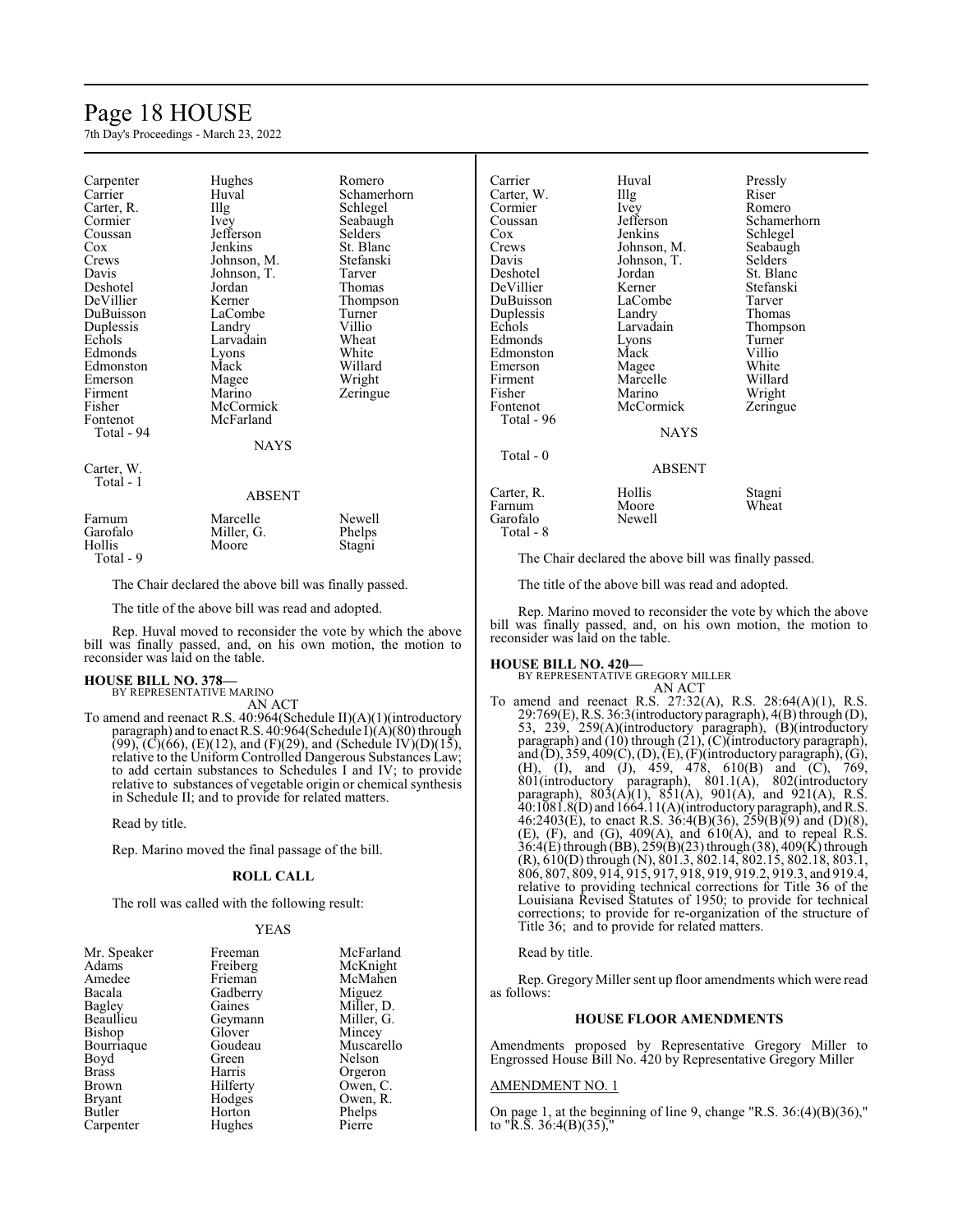## Page 18 HOUSE

7th Day's Proceedings - March 23, 2022

| Carpenter<br>Carrier<br>Carter, R.<br>Cormier<br>Coussan<br>Cox<br>Crews<br>Davis<br>Deshotel<br>DeVillier<br>DuBuisson<br>Duplessis<br>Echols<br>Edmonds<br>Edmonston<br>Emerson<br>Firment<br>Fisher<br>Fontenot<br>Total - 94 | Hughes<br>Huval<br>Illg<br>Ivey<br>Jefferson<br>Jenkins<br>Johnson, M.<br>Johnson, T.<br>Jordan<br>Kerner<br>LaCombe<br>Landry<br>Larvadain<br>Lyons<br>Mack<br>Magee<br>Marino<br>McCormick<br>McFarland<br><b>NAYS</b> | Romero<br>Schamerhorn<br>Schlegel<br>Seabaugh<br>Selders<br>St. Blanc<br>Stefanski<br>Tarver<br>Thomas<br>Thompson<br>Turner<br>Villio<br>Wheat<br>White<br>Willard<br>Wright<br>Zeringue |
|----------------------------------------------------------------------------------------------------------------------------------------------------------------------------------------------------------------------------------|--------------------------------------------------------------------------------------------------------------------------------------------------------------------------------------------------------------------------|-------------------------------------------------------------------------------------------------------------------------------------------------------------------------------------------|
| Carter, W.<br>Total - 1                                                                                                                                                                                                          | ABSENT                                                                                                                                                                                                                   |                                                                                                                                                                                           |
| Farnum<br>Garofalo<br>Hollis                                                                                                                                                                                                     | Marcelle<br>Miller, G.<br>Moore                                                                                                                                                                                          | Newell<br>Phelps<br>Stagni                                                                                                                                                                |

The Chair declared the above bill was finally passed.

The title of the above bill was read and adopted.

Rep. Huval moved to reconsider the vote by which the above bill was finally passed, and, on his own motion, the motion to reconsider was laid on the table.

#### **HOUSE BILL NO. 378—** BY REPRESENTATIVE MARINO

Total - 9

AN ACT

To amend and reenact R.S. 40:964(Schedule II)(A)(1)(introductory paragraph) and to enact R.S. 40:964(Schedule I)(A)(80) through  $(99)$ ,  $(C)(66)$ ,  $(E)(12)$ , and  $(F)(29)$ , and  $(Schedule IV)(D)(15)$ , relative to the Uniform Controlled Dangerous Substances Law; to add certain substances to Schedules I and IV; to provide relative to substances of vegetable origin or chemical synthesis in Schedule II; and to provide for related matters.

Read by title.

Rep. Marino moved the final passage of the bill.

#### **ROLL CALL**

The roll was called with the following result:

#### YEAS

| Mr. Speaker   | Freeman  | McFarland  |
|---------------|----------|------------|
| Adams         | Freiberg | McKnight   |
| Amedee        | Frieman  | McMahen    |
| Bacala        | Gadberry | Miguez     |
| Bagley        | Gaines   | Miller, D. |
| Beaullieu     | Geymann  | Miller, G. |
| <b>Bishop</b> | Glover   | Mincey     |
| Bourriaque    | Goudeau  | Muscarello |
| Boyd          | Green    | Nelson     |
| <b>Brass</b>  | Harris   | Orgeron    |
| Brown         | Hilferty | Owen, C.   |
| <b>Bryant</b> | Hodges   | Owen, R.   |
| Butler        | Horton   | Phelps     |
| Carpenter     | Hughes   | Pierre     |
|               |          |            |

| Carrier     | Huval       | Pressly        |
|-------------|-------------|----------------|
| Carter, W.  | Illg        | Riser          |
| Cormier     | Ivey        | Romero         |
| Coussan     | Jefferson   | Schamerhorn    |
| Cox         | Jenkins     | Schlegel       |
| Crews       | Johnson, M. | Seabaugh       |
| Davis       | Johnson, T. | <b>Selders</b> |
| Deshotel    | Jordan      | St. Blanc      |
| DeVillier   | Kerner      | Stefanski      |
| DuBuisson   | LaCombe     | Tarver         |
| Duplessis   | Landry      | Thomas         |
| Echols      | Larvadain   | Thompson       |
| Edmonds     | Lyons       | Turner         |
| Edmonston   | Mack        | Villio         |
| Emerson     | Magee       | White          |
| Firment     | Marcelle    | Willard        |
| Fisher      | Marino      | Wright         |
| Fontenot    | McCormick   | Zeringue       |
| Total - 96  |             |                |
|             | <b>NAYS</b> |                |
| $Total - 0$ |             |                |
|             | ABSENT      |                |
| Carter, R.  | Hollis      | Stagni         |
| Farnum      | Moore       | Wheat          |
| Garofalo    | Newell      |                |
| Total - 8   |             |                |

The Chair declared the above bill was finally passed.

The title of the above bill was read and adopted.

Rep. Marino moved to reconsider the vote by which the above bill was finally passed, and, on his own motion, the motion to reconsider was laid on the table.

**HOUSE BILL NO. 420—** BY REPRESENTATIVE GREGORY MILLER AN ACT

To amend and reenact R.S. 27:32(A), R.S. 28:64(A)(1), R.S. 29:769(E), R.S. 36:3(introductoryparagraph), 4(B) through (D), 53, 239, 259(A)(introductory paragraph), (B)(introductory paragraph) and (10) through (21), (C)(introductory paragraph), and  $(D)$ , 359, 409 $(C)$ ,  $(D)$ ,  $(E)$ ,  $(F)$ (introductory paragraph),  $(G)$ , (H), (I), and (J), 459, 478, 610(B) and (C), 769, 801(introductory paragraph), 801.1(A), 802(introductory paragraph),  $803(A)(1)$ ,  $851(A)$ ,  $901(A)$ , and  $921(A)$ , R.S. 40:1081.8(D) and 1664.11(A)(introductory paragraph), andR.S. 46:2403(E), to enact R.S. 36:4(B)(36), 259(B)(9) and (D)(8),  $(E)$ ,  $(F)$ , and  $(G)$ ,  $409(A)$ , and  $610(A)$ , and to repeal R.S. 36:4(E) through (BB), 259(B)(23) through (38), 409(K) through (R), 610(D) through (N), 801.3, 802.14, 802.15, 802.18, 803.1, 806, 807, 809, 914, 915, 917, 918, 919, 919.2, 919.3, and 919.4, relative to providing technical corrections for Title 36 of the Louisiana Revised Statutes of 1950; to provide for technical corrections; to provide for re-organization of the structure of Title 36; and to provide for related matters.

#### Read by title.

Rep. Gregory Miller sent up floor amendments which were read as follows:

## **HOUSE FLOOR AMENDMENTS**

Amendments proposed by Representative Gregory Miller to Engrossed House Bill No. 420 by Representative Gregory Miller

#### AMENDMENT NO. 1

On page 1, at the beginning of line 9, change "R.S. 36:(4)(B)(36)," to "R.S.  $36:4(B)(35)$ ,"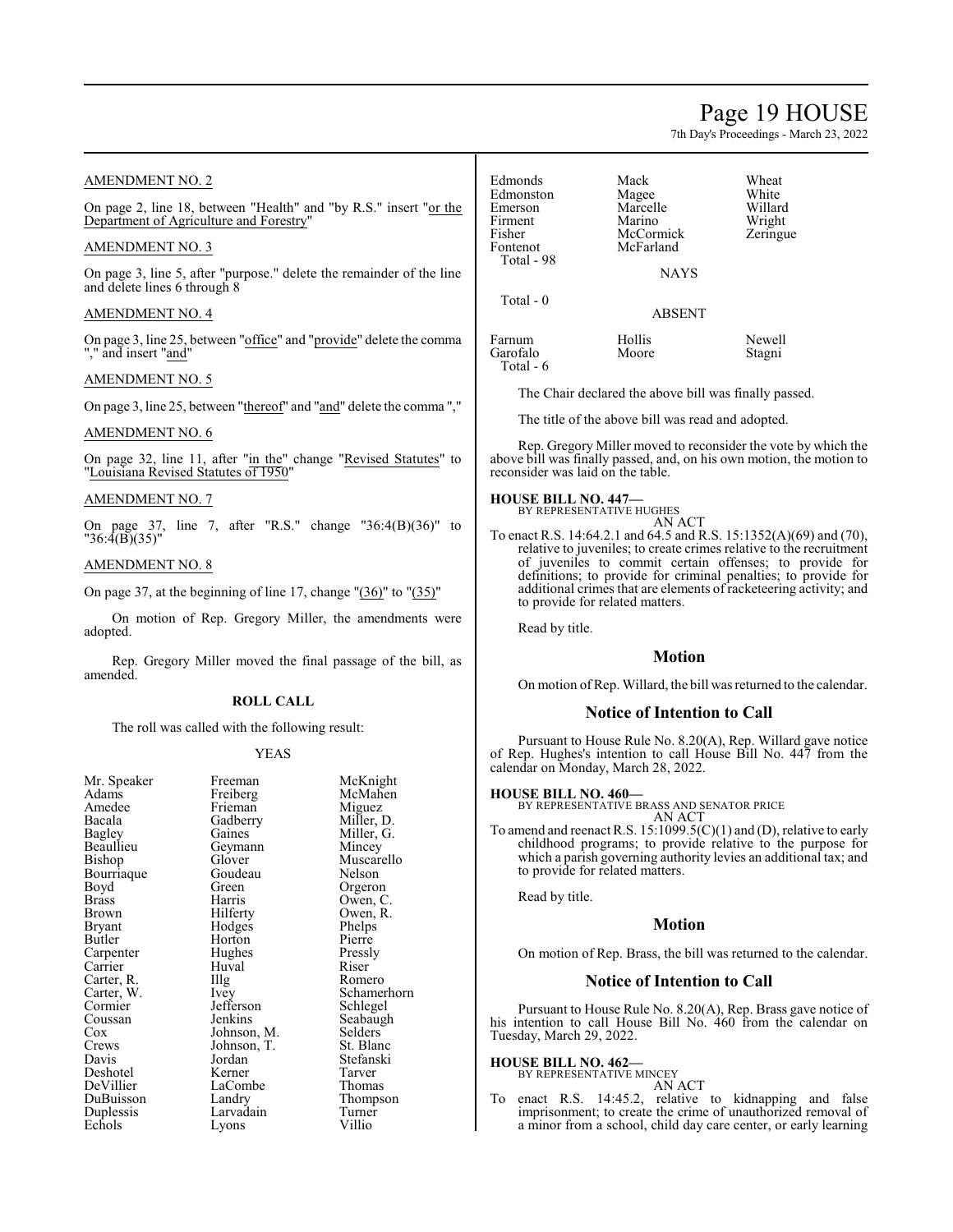## Page 19 HOUSE

7th Day's Proceedings - March 23, 2022

Willard Wright Zeringue

Newell Stagni

## AMENDMENT NO. 2

On page 2, line 18, between "Health" and "by R.S." insert "or the Department of Agriculture and Forestry"

## AMENDMENT NO. 3

On page 3, line 5, after "purpose." delete the remainder of the line and delete lines 6 through 8

## AMENDMENT NO. 4

On page 3, line 25, between "office" and "provide" delete the comma "," and insert "and"

## AMENDMENT NO. 5

On page 3, line 25, between "thereof" and "and" delete the comma ","

## AMENDMENT NO. 6

On page 32, line 11, after "in the" change "Revised Statutes" to "Louisiana Revised Statutes of 1950"

#### AMENDMENT NO. 7

On page 37, line 7, after "R.S." change "36:4(B)(36)" to "36:4(B)(35)"

## AMENDMENT NO. 8

On page 37, at the beginning of line 17, change "(36)" to "(35)"

On motion of Rep. Gregory Miller, the amendments were adopted.

Rep. Gregory Miller moved the final passage of the bill, as amended.

### **ROLL CALL**

The roll was called with the following result:

## YEAS

| Mr. Speaker | Freeman     | McKnight    |
|-------------|-------------|-------------|
| Adams       | Freiberg    | McMahen     |
| Amedee      | Frieman     | Miguez      |
| Bacala      | Gadberry    | Miller, D.  |
| Bagley      | Gaines      | Miller, G.  |
| Beaullieu   | Geymann     | Mincey      |
| Bishop      | Glover      | Muscarello  |
| Bourriaque  | Goudeau     | Nelson      |
| Boyd        | Green       | Orgeron     |
| Brass       | Harris      | Owen, C.    |
| Brown       | Hilferty    | Owen, R.    |
| Bryant      | Hodges      | Phelps      |
| Butler      | Horton      | Pierre      |
| Carpenter   | Hughes      | Pressly     |
| Carrier     | Huval       | Riser       |
| Carter, R.  | Illg        | Romero      |
| Carter, W.  | Ivey        | Schamerhorn |
| Cormier     | Jefferson   | Schlegel    |
| Coussan     | Jenkins     | Seabaugh    |
| Cox         | Johnson, M. | Selders     |
| Crews       | Johnson, T. | St. Blanc   |
| Davis       | Jordan      | Stefanski   |
| Deshotel    | Kerner      | Tarver      |
| DeVillier   | LaCombe     | Thomas      |
| DuBuisson   | Landry      | Thompson    |
| Duplessis   | Larvadain   | Turner      |
| Echols      | Lyons       | Villio      |
|             |             |             |

| Edmonds<br>Edmonston<br>Emerson<br>Firment<br>Fisher<br>Fontenot<br>Total - 98 | Mack<br>Magee<br>Marcelle<br>Marino<br>McCormick<br>McFarland<br><b>NAYS</b> | Wheat<br>White<br>Willar<br>Wright<br>Zering |
|--------------------------------------------------------------------------------|------------------------------------------------------------------------------|----------------------------------------------|
| Total - 0                                                                      | <b>ABSENT</b>                                                                |                                              |
| Farnum<br>Garofalo<br>Total - 6                                                | Hollis<br>Moore                                                              | Newel<br>Stagni                              |

The Chair declared the above bill was finally passed.

The title of the above bill was read and adopted.

Rep. Gregory Miller moved to reconsider the vote by which the above bill was finally passed, and, on his own motion, the motion to reconsider was laid on the table.

#### **HOUSE BILL NO. 447—** BY REPRESENTATIVE HUGHES

AN ACT To enact R.S. 14:64.2.1 and 64.5 and R.S. 15:1352(A)(69) and (70), relative to juveniles; to create crimes relative to the recruitment of juveniles to commit certain offenses; to provide for definitions; to provide for criminal penalties; to provide for additional crimes that are elements of racketeering activity; and to provide for related matters.

Read by title.

## **Motion**

On motion of Rep. Willard, the bill was returned to the calendar.

## **Notice of Intention to Call**

Pursuant to House Rule No. 8.20(A), Rep. Willard gave notice of Rep. Hughes's intention to call House Bill No. 447 from the calendar on Monday, March 28, 2022.

#### **HOUSE BILL NO. 460—**

BY REPRESENTATIVE BRASS AND SENATOR PRICE AN ACT

To amend and reenact R.S. 15:1099.5(C)(1) and (D), relative to early childhood programs; to provide relative to the purpose for which a parish governing authority levies an additional tax; and to provide for related matters.

Read by title.

## **Motion**

On motion of Rep. Brass, the bill was returned to the calendar.

## **Notice of Intention to Call**

Pursuant to House Rule No. 8.20(A), Rep. Brass gave notice of his intention to call House Bill No. 460 from the calendar on Tuesday, March 29, 2022.

#### **HOUSE BILL NO. 462—**

BY REPRESENTATIVE MINCEY

AN ACT To enact R.S. 14:45.2, relative to kidnapping and false imprisonment; to create the crime of unauthorized removal of a minor from a school, child day care center, or early learning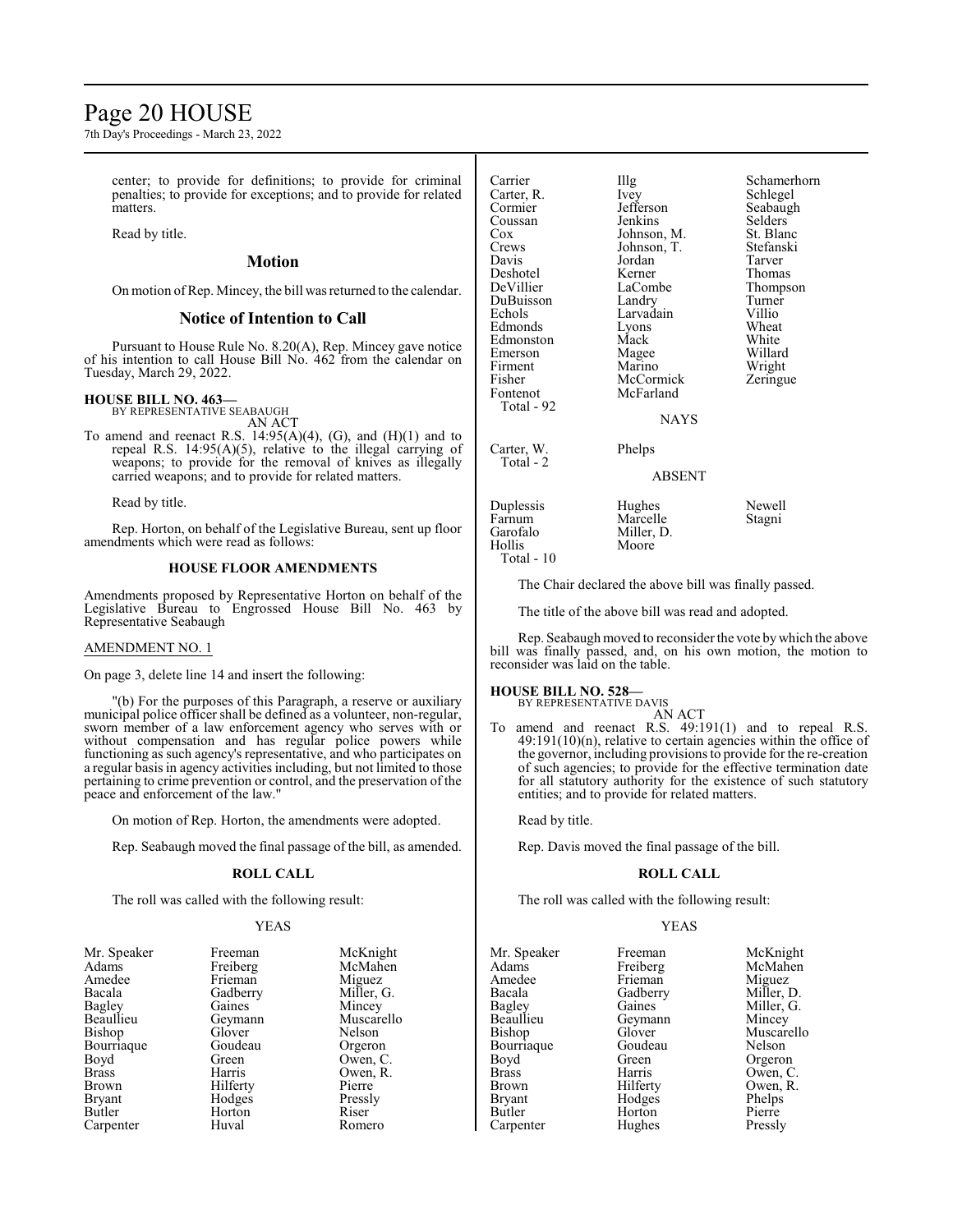## Page 20 HOUSE

7th Day's Proceedings - March 23, 2022

center; to provide for definitions; to provide for criminal penalties; to provide for exceptions; and to provide for related matters.

Read by title.

## **Motion**

On motion ofRep. Mincey, the bill was returned to the calendar.

## **Notice of Intention to Call**

Pursuant to House Rule No. 8.20(A), Rep. Mincey gave notice of his intention to call House Bill No. 462 from the calendar on Tuesday, March 29, 2022.

## **HOUSE BILL NO. 463—**

BY REPRESENTATIVE SEABAUGH AN ACT

To amend and reenact R.S.  $14:95(A)(4)$ , (G), and  $(H)(1)$  and to repeal R.S. 14:95(A)(5), relative to the illegal carrying of weapons; to provide for the removal of knives as illegally carried weapons; and to provide for related matters.

Read by title.

Rep. Horton, on behalf of the Legislative Bureau, sent up floor amendments which were read as follows:

#### **HOUSE FLOOR AMENDMENTS**

Amendments proposed by Representative Horton on behalf of the Legislative Bureau to Engrossed House Bill No. 463 by Representative Seabaugh

### AMENDMENT NO. 1

On page 3, delete line 14 and insert the following:

"(b) For the purposes of this Paragraph, a reserve or auxiliary municipal police officer shall be defined as a volunteer, non-regular, sworn member of a law enforcement agency who serves with or without compensation and has regular police powers while functioning as such agency's representative, and who participates on a regular basis in agency activities including, but not limited to those pertaining to crime prevention or control, and the preservation of the peace and enforcement of the law."

On motion of Rep. Horton, the amendments were adopted.

Rep. Seabaugh moved the final passage of the bill, as amended.

### **ROLL CALL**

The roll was called with the following result:

#### YEAS

| $\cdots$      |
|---------------|
| Adams         |
| Amedee        |
| Bacala        |
| Bagley        |
| Beaullieu     |
| Bishop        |
| Bourriaque    |
| Boyd          |
| <b>Brass</b>  |
| Brown         |
| <b>Bryant</b> |
| Butler        |
| Carnenter     |

Freiberg McMah<br>Frieman Miguez Frieman<br>Gadberry Geymann<br>Glover Goudeau<br>Green Green Owen, C.<br>Harris Owen, R. Hilferty<br>Hodges Pressly Hodges Pressl<br>
Horton Riser Horton<br>Huval

Mr. Speaker Freeman McKnight<br>Adams Freiberg McMahen Miller, G.<br>Mincey Gaines Mincey<br>Geymann Muscarello Nelson<br>Orgeron Owen, R.<br>Pierre Romero

| Carrier<br>Carter, R.<br>Cormier<br>Coussan<br>Cox<br>Crews<br>Davis<br>Deshotel<br>DeVillier<br>DuBuisson<br>Echols<br>Edmonds<br>Edmonston<br>Emerson<br>Firment<br>Fisher<br>Fontenot<br>Total - 92 | Illg<br>Ivey<br>Jefferson<br>Jenkins<br>Johnson, M.<br>Johnson, T.<br>Jordan<br>Kerner<br>LaCombe<br>Landry<br>Larvadain<br>Lyons<br>Mack<br>Magee<br>Marino<br>McCormick<br>McFarland<br><b>NAYS</b> | Schamerhorn<br>Schlegel<br>Seabaugh<br>Selders<br>St. Blanc<br>Stefanski<br>Tarver<br>Thomas<br>Thompson<br>Turner<br>Villio<br>Wheat<br>White<br>Willard<br>Wright<br>Zeringue |
|--------------------------------------------------------------------------------------------------------------------------------------------------------------------------------------------------------|-------------------------------------------------------------------------------------------------------------------------------------------------------------------------------------------------------|---------------------------------------------------------------------------------------------------------------------------------------------------------------------------------|
| Carter, W.<br>Total - 2                                                                                                                                                                                | Phelps<br><b>ABSENT</b>                                                                                                                                                                               |                                                                                                                                                                                 |
| Duplessis<br>Farnum<br>Garofalo<br>Hollis                                                                                                                                                              | Hughes<br>Marcelle<br>Miller, D.<br>Moore                                                                                                                                                             | Newell<br>Stagni                                                                                                                                                                |

The Chair declared the above bill was finally passed.

The title of the above bill was read and adopted.

Rep. Seabaugh moved to reconsider the vote bywhich the above bill was finally passed, and, on his own motion, the motion to reconsider was laid on the table.

#### **HOUSE BILL NO. 528—**

Total - 10

BY REPRESENTATIVE DAVIS AN ACT

To amend and reenact R.S. 49:191(1) and to repeal R.S. 49:191(10)(n), relative to certain agencies within the office of the governor, including provisions to provide for the re-creation of such agencies; to provide for the effective termination date for all statutory authority for the existence of such statutory entities; and to provide for related matters.

Read by title.

Rep. Davis moved the final passage of the bill.

### **ROLL CALL**

The roll was called with the following result:

#### YEAS

Adams Freiberg McMah<br>Amedee Frieman Miguez Amedee Frieman Miguez<br>Bacala Gadberry Miller, D. Bacala Gadberry<br>Bagley Gaines Bagley Gaines Miller, G.<br>Beaullieu Geymann Mincey Beaullieu Geymann Mincey<br>Bishop Glover Muscare Bourriaque Goude<br>Boyd Green Boyd Green Orgeron<br>Brass Harris Owen, C Brass Harris Owen, C. Brown Hilferty Owen, R.<br>Bryant Hodges Phelps Bryant Hodges Phelps Carpenter

Mr. Speaker Freeman McKnight<br>
Adams Freiberg McMahen Glover Muscarello<br>Goudeau Nelson Horton Pierre<br>
Hughes Pressly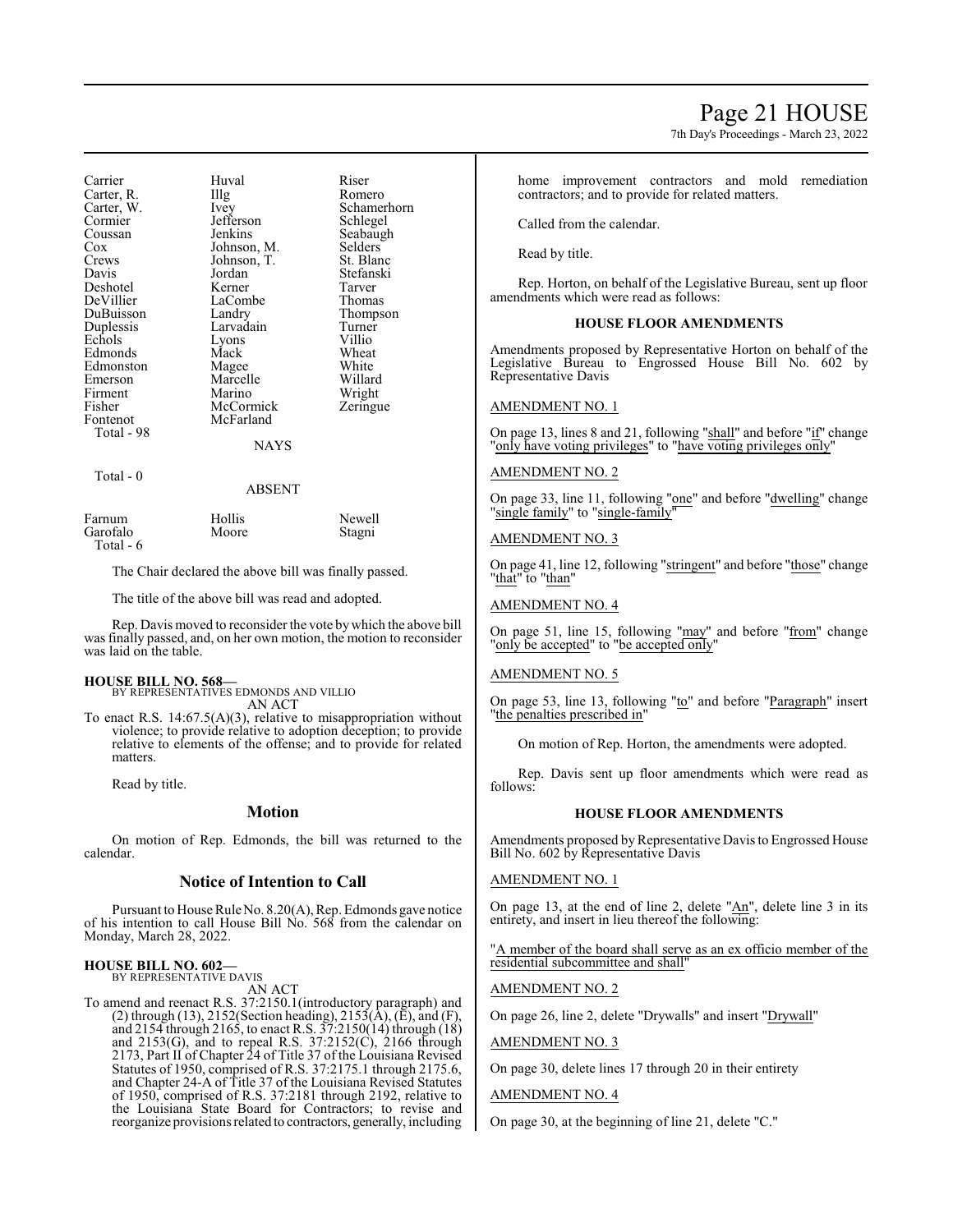7th Day's Proceedings - March 23, 2022

Carrier Huval Riser<br>Carter, R. Illg Romero Carter, R. Illg<br>Carter, W. Ivey Carter, W. Ivey Schamerhorn Cormier Jefferson<br>Coussan Jenkins Coussan Jenkins Seabaugh<br>Cox Johnson M. Selders Johnson, M. Crews Johnson, T. St. Blanc<br>Davis Jordan Stefanski Jordan Stefanski<br>Kerner Tarver Deshotel Kerner Tarver DeVillier LaCombe<br>
DuBuisson Landry DuBuisson Landry Thompson Larvadain Turner<br>Lyons Villio Echols Lyons Villio<br>Edmonds Mack Wheat Edmonds Mack Wheat<br>Edmonston Magee White Edmonston Magee White<br>Emerson Marcelle Willard Emerson Marcelle Willard<br>Firment Marino Wright Firment Marino Wright<br>
Fisher McCormick Zeringue Fisher McCormick<br>Fontenot McFarland McFarland Total - 98 NAYS Total - 0 ABSENT Farnum Hollis Newell Garofalo Moore Stagni Total - 6

The Chair declared the above bill was finally passed.

The title of the above bill was read and adopted.

Rep. Davis moved to reconsider the vote by which the above bill was finally passed, and, on her own motion, the motion to reconsider was laid on the table.

### **HOUSE BILL NO. 568—**

BY REPRESENTATIVES EDMONDS AND VILLIO AN ACT

To enact R.S. 14:67.5(A)(3), relative to misappropriation without violence; to provide relative to adoption deception; to provide relative to elements of the offense; and to provide for related matters.

Read by title.

## **Motion**

On motion of Rep. Edmonds, the bill was returned to the calendar.

## **Notice of Intention to Call**

Pursuant to House Rule No. 8.20(A), Rep. Edmonds gave notice of his intention to call House Bill No. 568 from the calendar on Monday, March 28, 2022.

## **HOUSE BILL NO. 602—**

BY REPRESENTATIVE DAVIS AN ACT

To amend and reenact R.S. 37:2150.1(introductory paragraph) and (2) through (13), 2152(Section heading), 2153( $\overline{A}$ ), ( $\overline{E}$ ), and (F), and 2154 through 2165, to enact R.S. 37:2150(14) through (18) and  $2153(G)$ , and to repeal R.S.  $37:2152(C)$ ,  $2166$  through 2173, Part II of Chapter 24 of Title 37 of the Louisiana Revised Statutes of 1950, comprised of R.S. 37:2175.1 through 2175.6, and Chapter 24-A of Title 37 of the Louisiana Revised Statutes of 1950, comprised of R.S. 37:2181 through 2192, relative to the Louisiana State Board for Contractors; to revise and reorganize provisions related to contractors, generally, including home improvement contractors and mold remediation contractors; and to provide for related matters.

Called from the calendar.

Read by title.

Rep. Horton, on behalf of the Legislative Bureau, sent up floor amendments which were read as follows:

#### **HOUSE FLOOR AMENDMENTS**

Amendments proposed by Representative Horton on behalf of the Legislative Bureau to Engrossed House Bill No. 602 by Representative Davis

#### AMENDMENT NO. 1

On page 13, lines 8 and 21, following "shall" and before "if" change "only have voting privileges" to "have voting privileges only"

### AMENDMENT NO. 2

On page 33, line 11, following "one" and before "dwelling" change single family" to "single-family"

### AMENDMENT NO. 3

On page 41, line 12, following "stringent" and before "those" change "that" to "than"

## AMENDMENT NO. 4

On page 51, line 15, following "may" and before "from" change "only be accepted" to "be accepted only"

### AMENDMENT NO. 5

On page 53, line 13, following "to" and before "Paragraph" insert "the penalties prescribed in"

On motion of Rep. Horton, the amendments were adopted.

Rep. Davis sent up floor amendments which were read as follows:

#### **HOUSE FLOOR AMENDMENTS**

Amendments proposed by Representative Davis to Engrossed House Bill No. 602 by Representative Davis

### AMENDMENT NO. 1

On page 13, at the end of line 2, delete "An", delete line 3 in its entirety, and insert in lieu thereof the following:

"A member of the board shall serve as an ex officio member of the residential subcommittee and shall"

### AMENDMENT NO. 2

On page 26, line 2, delete "Drywalls" and insert "Drywall"

#### AMENDMENT NO. 3

On page 30, delete lines 17 through 20 in their entirety

### AMENDMENT NO. 4

On page 30, at the beginning of line 21, delete "C."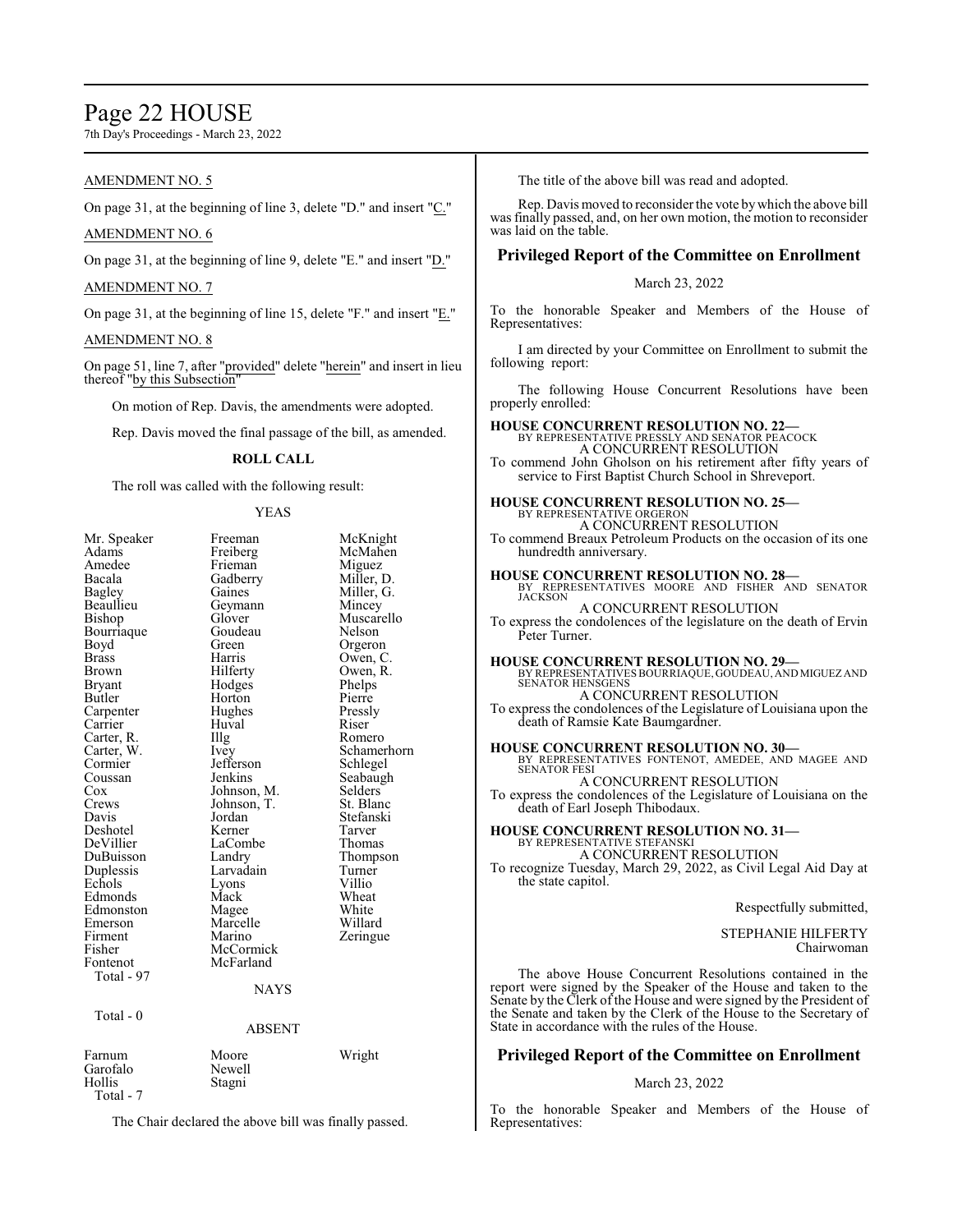## Page 22 HOUSE

7th Day's Proceedings - March 23, 2022

## AMENDMENT NO. 5

On page 31, at the beginning of line 3, delete "D." and insert "C."

## AMENDMENT NO. 6

On page 31, at the beginning of line 9, delete "E." and insert "D."

## AMENDMENT NO. 7

On page 31, at the beginning of line 15, delete "F." and insert " $E$ ."

## AMENDMENT NO. 8

On page 51, line 7, after "provided" delete "herein" and insert in lieu thereof "by this Subsection"

On motion of Rep. Davis, the amendments were adopted.

Rep. Davis moved the final passage of the bill, as amended.

## **ROLL CALL**

The roll was called with the following result:

### YEAS

| Mr. Speaker<br>Adams | Freeman<br>Freiberg | McKnight<br>McMahen |
|----------------------|---------------------|---------------------|
| Amedee               | Frieman             | Miguez              |
| Bacala               | Gadberry            | Miller, D.          |
| <b>Bagley</b>        | Gaines              | Miller, G.          |
| Beaullieu            | Geymann             | Mincey              |
| Bishop               | Glover              | Muscarello          |
| Bourriaque           | Goudeau             | Nelson              |
| Boyd                 | Green               | Orgeron             |
| Brass                | Harris              | Owen, C.            |
| Brown                | Hilferty            | Owen, R.            |
| Bryant               | Hodges              | Phelps              |
| Butler               | Horton              | Pierre              |
| Carpenter            | Hughes              | Pressly             |
| Carrier              | Huval               | Riser               |
| Carter, R.           | Illg                | Romero              |
| Carter, W.           | Ivey                | Schamerhorn         |
| Cormier              | Jefferson           | Schlegel            |
| Coussan              | Jenkins             | Seabaugh            |
| Cox                  | Johnson, M.         | Selders             |
| Crews                | Johnson, T.         | St. Blanc           |
| Davis                | Jordan              | Stefanski           |
| Deshotel             | Kerner              | Tarver              |
| DeVillier            | LaCombe             | Thomas              |
| DuBuisson            | Landry              | Thompson            |
| Duplessis            | Larvadain           | Turner              |
| Echols               | Lyons               | Villio              |
| Edmonds              | Mack                | Wheat               |
| Edmonston            | Magee               | White               |
| Emerson              | Marcelle            | Willard             |
| Firment              | Marino              | Zeringue            |
| Fisher               | McCormick           |                     |
| Fontenot             | McFarland           |                     |
| Total - 97           |                     |                     |
|                      | <b>NAYS</b>         |                     |
|                      |                     |                     |
| Total - 0            |                     |                     |
|                      | <b>ABSENT</b>       |                     |
| Farnum               | Moore               | Wright              |
| Garofalo             | Newell              |                     |
| Hollis               | Stagni              |                     |
| Total - 7            |                     |                     |
|                      |                     |                     |

The Chair declared the above bill was finally passed.

The title of the above bill was read and adopted.

Rep. Davis moved to reconsider the vote bywhich the above bill was finally passed, and, on her own motion, the motion to reconsider was laid on the table.

## **Privileged Report of the Committee on Enrollment**

March 23, 2022

To the honorable Speaker and Members of the House of Representatives:

I am directed by your Committee on Enrollment to submit the following report:

The following House Concurrent Resolutions have been properly enrolled:

#### **HOUSE CONCURRENT RESOLUTION NO. 22—** BY REPRESENTATIVE PRESSLY AND SENATOR PEACOCK A CONCURRENT RESOLUTION

To commend John Gholson on his retirement after fifty years of service to First Baptist Church School in Shreveport.

#### **HOUSE CONCURRENT RESOLUTION NO. 25—** BY REPRESENTATIVE ORGERON

A CONCURRENT RESOLUTION To commend Breaux Petroleum Products on the occasion of its one hundredth anniversary.

## **HOUSE CONCURRENT RESOLUTION NO. 28—** BY REPRESENTATIVES MOORE AND FISHER AND SENATOR JACKSON

A CONCURRENT RESOLUTION To express the condolences of the legislature on the death of Ervin Peter Turner.

#### **HOUSE CONCURRENT RESOLUTION NO. 29—**

BY REPRESENTATIVES BOURRIAQUE, GOUDEAU, AND MIGUEZ AND SENATOR HENSGENS A CONCURRENT RESOLUTION

To express the condolences of the Legislature of Louisiana upon the death of Ramsie Kate Baumgardner.

**HOUSE CONCURRENT RESOLUTION NO. 30—** BY REPRESENTATIVES FONTENOT, AMEDEE, AND MAGEE AND SENATOR FESI A CONCURRENT RESOLUTION

To express the condolences of the Legislature of Louisiana on the death of Earl Joseph Thibodaux.

#### **HOUSE CONCURRENT RESOLUTION NO. 31—** BY REPRESENTATIVE STEFANSK

A CONCURRENT RESOLUTION To recognize Tuesday, March 29, 2022, as Civil Legal Aid Day at the state capitol.

Respectfully submitted,

STEPHANIE HILFERTY Chairwoman

The above House Concurrent Resolutions contained in the report were signed by the Speaker of the House and taken to the Senate by the Clerk of the House and were signed by the President of the Senate and taken by the Clerk of the House to the Secretary of State in accordance with the rules of the House.

## **Privileged Report of the Committee on Enrollment**

## March 23, 2022

To the honorable Speaker and Members of the House of Representatives: